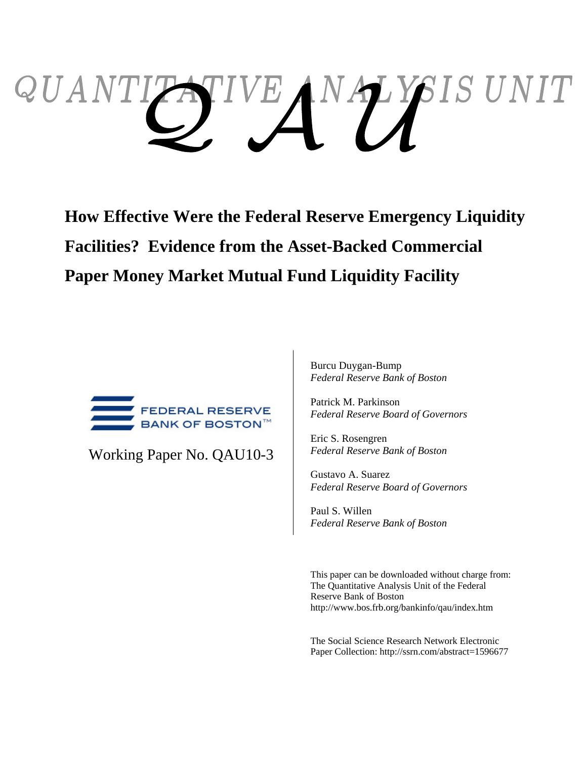# $QUAN$ *SIS UNIT* YIVEANAY

**How Effective Were the Federal Reserve Emergency Liquidity Facilities? Evidence from the Asset-Backed Commercial Paper Money Market Mutual Fund Liquidity Facility** 



Working Paper No. QAU10-3

Burcu Duygan-Bump *Federal Reserve Bank of Boston*

Patrick M. Parkinson *Federal Reserve Board of Governors* 

Eric S. Rosengren *Federal Reserve Bank of Boston* 

Gustavo A. Suarez *Federal Reserve Board of Governors* 

Paul S. Willen *Federal Reserve Bank of Boston*

This paper can be downloaded without charge from: The Quantitative Analysis Unit of the Federal Reserve Bank of Boston http://www.bos.frb.org/bankinfo/qau/index.htm

The Social Science Research Network Electronic Paper Collection: http://ssrn.com/abstract=1596677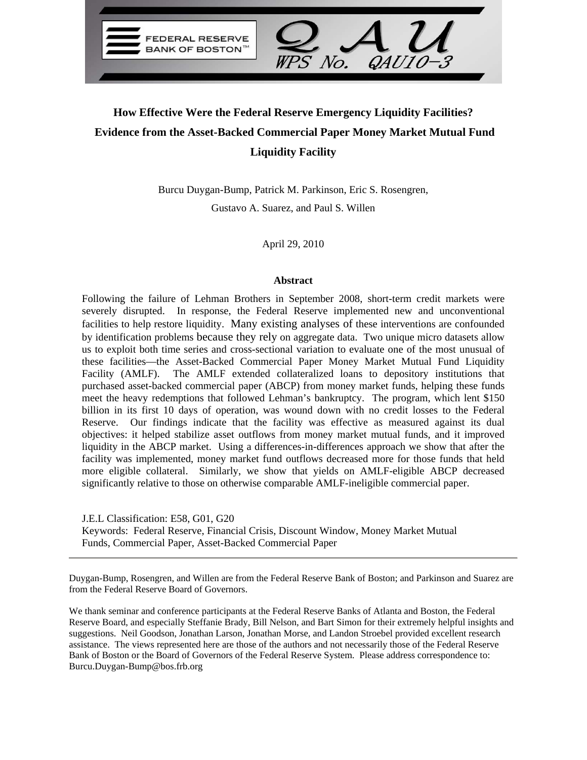

## **How Effective Were the Federal Reserve Emergency Liquidity Facilities? Evidence from the Asset-Backed Commercial Paper Money Market Mutual Fund Liquidity Facility**

Burcu Duygan-Bump, Patrick M. Parkinson, Eric S. Rosengren, Gustavo A. Suarez, and Paul S. Willen

April 29, 2010

#### **Abstract**

Following the failure of Lehman Brothers in September 2008, short-term credit markets were severely disrupted. In response, the Federal Reserve implemented new and unconventional facilities to help restore liquidity. Many existing analyses of these interventions are confounded by identification problems because they rely on aggregate data. Two unique micro datasets allow us to exploit both time series and cross-sectional variation to evaluate one of the most unusual of these facilities—the Asset-Backed Commercial Paper Money Market Mutual Fund Liquidity Facility (AMLF). The AMLF extended collateralized loans to depository institutions that purchased asset-backed commercial paper (ABCP) from money market funds, helping these funds meet the heavy redemptions that followed Lehman's bankruptcy. The program, which lent \$150 billion in its first 10 days of operation, was wound down with no credit losses to the Federal Reserve. Our findings indicate that the facility was effective as measured against its dual objectives: it helped stabilize asset outflows from money market mutual funds, and it improved liquidity in the ABCP market. Using a differences-in-differences approach we show that after the facility was implemented, money market fund outflows decreased more for those funds that held more eligible collateral. Similarly, we show that yields on AMLF-eligible ABCP decreased significantly relative to those on otherwise comparable AMLF-ineligible commercial paper.

J.E.L Classification: E58, G01, G20 Keywords: Federal Reserve, Financial Crisis, Discount Window, Money Market Mutual Funds, Commercial Paper, Asset-Backed Commercial Paper

Duygan-Bump, Rosengren, and Willen are from the Federal Reserve Bank of Boston; and Parkinson and Suarez are from the Federal Reserve Board of Governors.

We thank seminar and conference participants at the Federal Reserve Banks of Atlanta and Boston, the Federal Reserve Board, and especially Steffanie Brady, Bill Nelson, and Bart Simon for their extremely helpful insights and suggestions. Neil Goodson, Jonathan Larson, Jonathan Morse, and Landon Stroebel provided excellent research assistance. The views represented here are those of the authors and not necessarily those of the Federal Reserve Bank of Boston or the Board of Governors of the Federal Reserve System. Please address correspondence to: Burcu.Duygan-Bump@bos.frb.org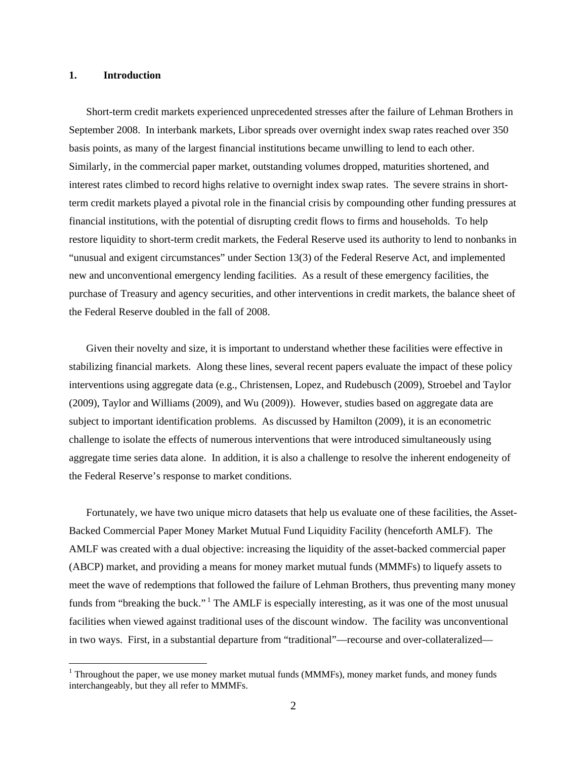#### **1. Introduction**

 $\overline{a}$ 

Short-term credit markets experienced unprecedented stresses after the failure of Lehman Brothers in September 2008. In interbank markets, Libor spreads over overnight index swap rates reached over 350 basis points, as many of the largest financial institutions became unwilling to lend to each other. Similarly, in the commercial paper market, outstanding volumes dropped, maturities shortened, and interest rates climbed to record highs relative to overnight index swap rates. The severe strains in shortterm credit markets played a pivotal role in the financial crisis by compounding other funding pressures at financial institutions, with the potential of disrupting credit flows to firms and households. To help restore liquidity to short-term credit markets, the Federal Reserve used its authority to lend to nonbanks in "unusual and exigent circumstances" under Section 13(3) of the Federal Reserve Act, and implemented new and unconventional emergency lending facilities. As a result of these emergency facilities, the purchase of Treasury and agency securities, and other interventions in credit markets, the balance sheet of the Federal Reserve doubled in the fall of 2008.

Given their novelty and size, it is important to understand whether these facilities were effective in stabilizing financial markets. Along these lines, several recent papers evaluate the impact of these policy interventions using aggregate data (e.g., Christensen, Lopez, and Rudebusch (2009), Stroebel and Taylor (2009), Taylor and Williams (2009), and Wu (2009)). However, studies based on aggregate data are subject to important identification problems. As discussed by Hamilton (2009), it is an econometric challenge to isolate the effects of numerous interventions that were introduced simultaneously using aggregate time series data alone. In addition, it is also a challenge to resolve the inherent endogeneity of the Federal Reserve's response to market conditions.

Fortunately, we have two unique micro datasets that help us evaluate one of these facilities, the Asset-Backed Commercial Paper Money Market Mutual Fund Liquidity Facility (henceforth AMLF). The AMLF was created with a dual objective: increasing the liquidity of the asset-backed commercial paper (ABCP) market, and providing a means for money market mutual funds (MMMFs) to liquefy assets to meet the wave of redemptions that followed the failure of Lehman Brothers, thus preventing many money funds from "breaking the buck."<sup>1</sup> The AMLF is especially interesting, as it was one of the most unusual facilities when viewed against traditional uses of the discount window. The facility was unconventional in two ways. First, in a substantial departure from "traditional"—recourse and over-collateralized—

<sup>&</sup>lt;sup>1</sup> Throughout the paper, we use money market mutual funds (MMMFs), money market funds, and money funds interchangeably, but they all refer to MMMFs.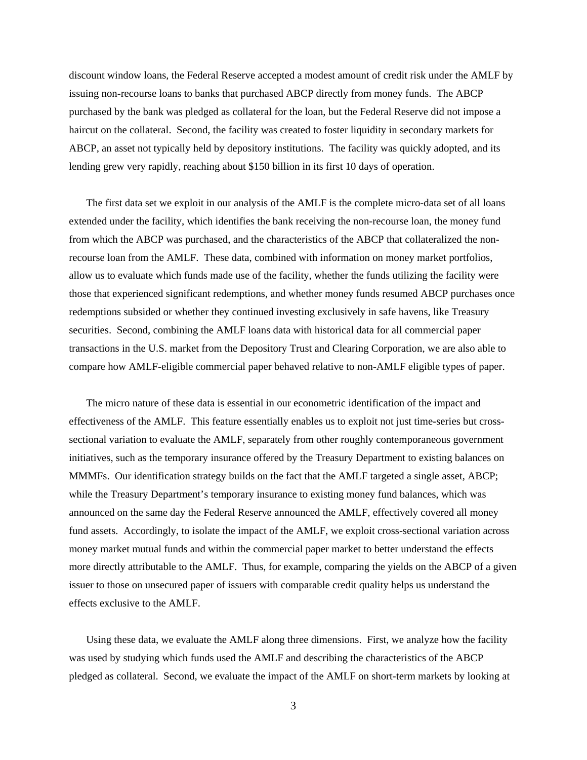discount window loans, the Federal Reserve accepted a modest amount of credit risk under the AMLF by issuing non-recourse loans to banks that purchased ABCP directly from money funds. The ABCP purchased by the bank was pledged as collateral for the loan, but the Federal Reserve did not impose a haircut on the collateral. Second, the facility was created to foster liquidity in secondary markets for ABCP, an asset not typically held by depository institutions. The facility was quickly adopted, and its lending grew very rapidly, reaching about \$150 billion in its first 10 days of operation.

The first data set we exploit in our analysis of the AMLF is the complete micro-data set of all loans extended under the facility, which identifies the bank receiving the non-recourse loan, the money fund from which the ABCP was purchased, and the characteristics of the ABCP that collateralized the nonrecourse loan from the AMLF. These data, combined with information on money market portfolios, allow us to evaluate which funds made use of the facility, whether the funds utilizing the facility were those that experienced significant redemptions, and whether money funds resumed ABCP purchases once redemptions subsided or whether they continued investing exclusively in safe havens, like Treasury securities. Second, combining the AMLF loans data with historical data for all commercial paper transactions in the U.S. market from the Depository Trust and Clearing Corporation, we are also able to compare how AMLF-eligible commercial paper behaved relative to non-AMLF eligible types of paper.

The micro nature of these data is essential in our econometric identification of the impact and effectiveness of the AMLF. This feature essentially enables us to exploit not just time-series but crosssectional variation to evaluate the AMLF, separately from other roughly contemporaneous government initiatives, such as the temporary insurance offered by the Treasury Department to existing balances on MMMFs. Our identification strategy builds on the fact that the AMLF targeted a single asset, ABCP; while the Treasury Department's temporary insurance to existing money fund balances, which was announced on the same day the Federal Reserve announced the AMLF, effectively covered all money fund assets. Accordingly, to isolate the impact of the AMLF, we exploit cross-sectional variation across money market mutual funds and within the commercial paper market to better understand the effects more directly attributable to the AMLF. Thus, for example, comparing the yields on the ABCP of a given issuer to those on unsecured paper of issuers with comparable credit quality helps us understand the effects exclusive to the AMLF.

Using these data, we evaluate the AMLF along three dimensions. First, we analyze how the facility was used by studying which funds used the AMLF and describing the characteristics of the ABCP pledged as collateral. Second, we evaluate the impact of the AMLF on short-term markets by looking at

3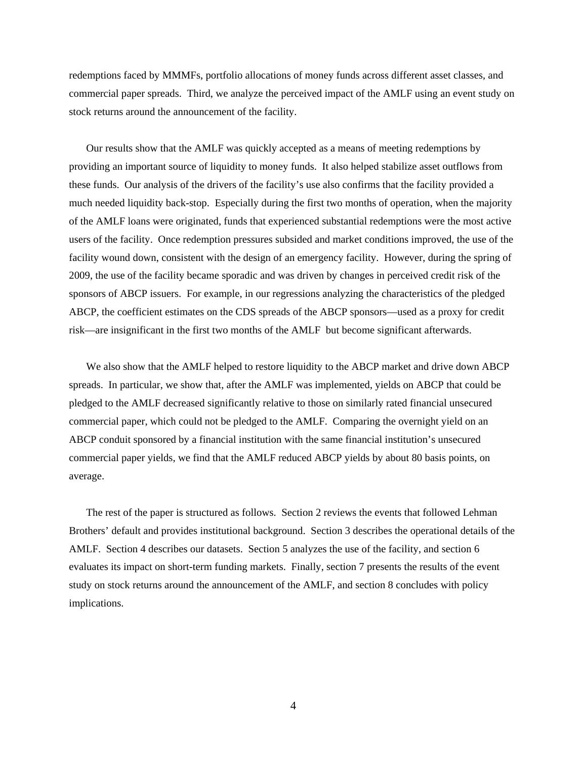redemptions faced by MMMFs, portfolio allocations of money funds across different asset classes, and commercial paper spreads. Third, we analyze the perceived impact of the AMLF using an event study on stock returns around the announcement of the facility.

Our results show that the AMLF was quickly accepted as a means of meeting redemptions by providing an important source of liquidity to money funds. It also helped stabilize asset outflows from these funds. Our analysis of the drivers of the facility's use also confirms that the facility provided a much needed liquidity back-stop. Especially during the first two months of operation, when the majority of the AMLF loans were originated, funds that experienced substantial redemptions were the most active users of the facility. Once redemption pressures subsided and market conditions improved, the use of the facility wound down, consistent with the design of an emergency facility. However, during the spring of 2009, the use of the facility became sporadic and was driven by changes in perceived credit risk of the sponsors of ABCP issuers. For example, in our regressions analyzing the characteristics of the pledged ABCP, the coefficient estimates on the CDS spreads of the ABCP sponsors—used as a proxy for credit risk—are insignificant in the first two months of the AMLF but become significant afterwards.

We also show that the AMLF helped to restore liquidity to the ABCP market and drive down ABCP spreads. In particular, we show that, after the AMLF was implemented, yields on ABCP that could be pledged to the AMLF decreased significantly relative to those on similarly rated financial unsecured commercial paper, which could not be pledged to the AMLF. Comparing the overnight yield on an ABCP conduit sponsored by a financial institution with the same financial institution's unsecured commercial paper yields, we find that the AMLF reduced ABCP yields by about 80 basis points, on average.

The rest of the paper is structured as follows. Section 2 reviews the events that followed Lehman Brothers' default and provides institutional background. Section 3 describes the operational details of the AMLF. Section 4 describes our datasets. Section 5 analyzes the use of the facility, and section 6 evaluates its impact on short-term funding markets. Finally, section 7 presents the results of the event study on stock returns around the announcement of the AMLF, and section 8 concludes with policy implications.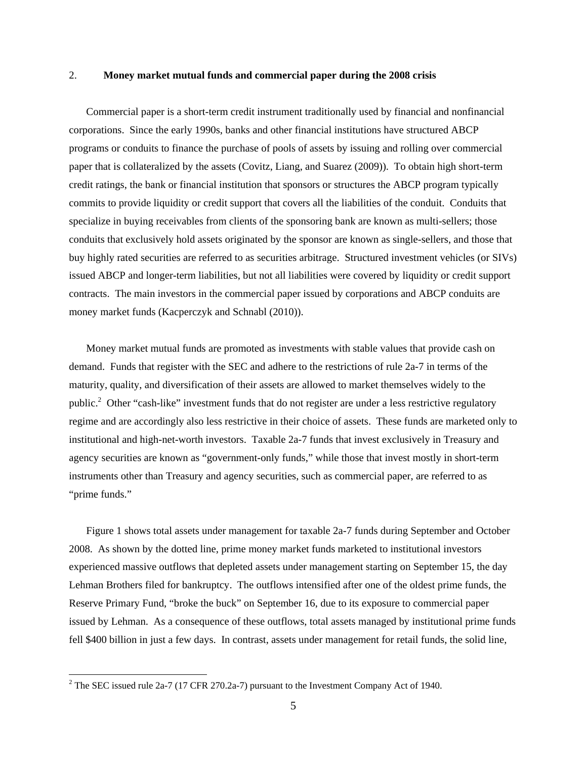#### 2. **Money market mutual funds and commercial paper during the 2008 crisis**

Commercial paper is a short-term credit instrument traditionally used by financial and nonfinancial corporations. Since the early 1990s, banks and other financial institutions have structured ABCP programs or conduits to finance the purchase of pools of assets by issuing and rolling over commercial paper that is collateralized by the assets (Covitz, Liang, and Suarez (2009)). To obtain high short-term credit ratings, the bank or financial institution that sponsors or structures the ABCP program typically commits to provide liquidity or credit support that covers all the liabilities of the conduit. Conduits that specialize in buying receivables from clients of the sponsoring bank are known as multi-sellers; those conduits that exclusively hold assets originated by the sponsor are known as single-sellers, and those that buy highly rated securities are referred to as securities arbitrage. Structured investment vehicles (or SIVs) issued ABCP and longer-term liabilities, but not all liabilities were covered by liquidity or credit support contracts. The main investors in the commercial paper issued by corporations and ABCP conduits are money market funds (Kacperczyk and Schnabl (2010)).

Money market mutual funds are promoted as investments with stable values that provide cash on demand. Funds that register with the SEC and adhere to the restrictions of rule 2a-7 in terms of the maturity, quality, and diversification of their assets are allowed to market themselves widely to the public.<sup>2</sup> Other "cash-like" investment funds that do not register are under a less restrictive regulatory regime and are accordingly also less restrictive in their choice of assets. These funds are marketed only to institutional and high-net-worth investors. Taxable 2a-7 funds that invest exclusively in Treasury and agency securities are known as "government-only funds," while those that invest mostly in short-term instruments other than Treasury and agency securities, such as commercial paper, are referred to as "prime funds."

Figure 1 shows total assets under management for taxable 2a-7 funds during September and October 2008. As shown by the dotted line, prime money market funds marketed to institutional investors experienced massive outflows that depleted assets under management starting on September 15, the day Lehman Brothers filed for bankruptcy. The outflows intensified after one of the oldest prime funds, the Reserve Primary Fund, "broke the buck" on September 16, due to its exposure to commercial paper issued by Lehman. As a consequence of these outflows, total assets managed by institutional prime funds fell \$400 billion in just a few days. In contrast, assets under management for retail funds, the solid line,

<sup>&</sup>lt;sup>2</sup> The SEC issued rule 2a-7 (17 CFR 270.2a-7) pursuant to the Investment Company Act of 1940.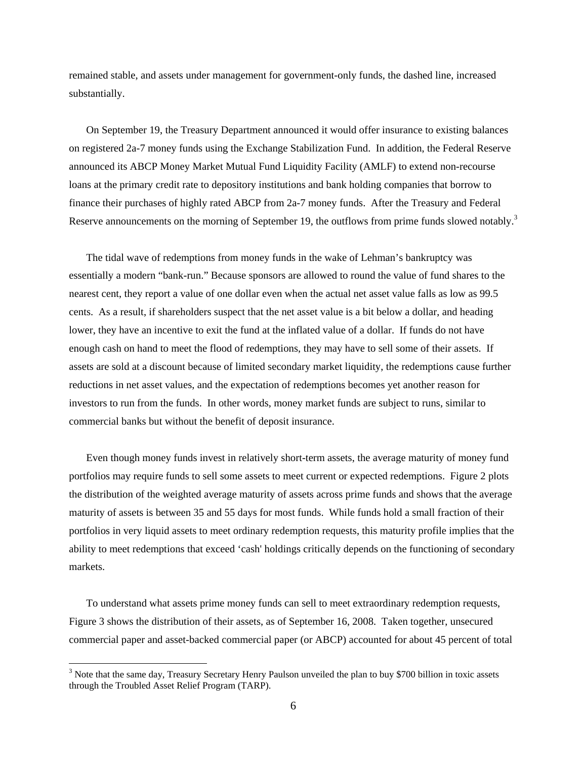remained stable, and assets under management for government-only funds, the dashed line, increased substantially.

On September 19, the Treasury Department announced it would offer insurance to existing balances on registered 2a-7 money funds using the Exchange Stabilization Fund. In addition, the Federal Reserve announced its ABCP Money Market Mutual Fund Liquidity Facility (AMLF) to extend non-recourse loans at the primary credit rate to depository institutions and bank holding companies that borrow to finance their purchases of highly rated ABCP from 2a-7 money funds. After the Treasury and Federal Reserve announcements on the morning of September 19, the outflows from prime funds slowed notably.<sup>3</sup>

The tidal wave of redemptions from money funds in the wake of Lehman's bankruptcy was essentially a modern "bank-run." Because sponsors are allowed to round the value of fund shares to the nearest cent, they report a value of one dollar even when the actual net asset value falls as low as 99.5 cents. As a result, if shareholders suspect that the net asset value is a bit below a dollar, and heading lower, they have an incentive to exit the fund at the inflated value of a dollar. If funds do not have enough cash on hand to meet the flood of redemptions, they may have to sell some of their assets. If assets are sold at a discount because of limited secondary market liquidity, the redemptions cause further reductions in net asset values, and the expectation of redemptions becomes yet another reason for investors to run from the funds. In other words, money market funds are subject to runs, similar to commercial banks but without the benefit of deposit insurance.

Even though money funds invest in relatively short-term assets, the average maturity of money fund portfolios may require funds to sell some assets to meet current or expected redemptions. Figure 2 plots the distribution of the weighted average maturity of assets across prime funds and shows that the average maturity of assets is between 35 and 55 days for most funds. While funds hold a small fraction of their portfolios in very liquid assets to meet ordinary redemption requests, this maturity profile implies that the ability to meet redemptions that exceed 'cash' holdings critically depends on the functioning of secondary markets.

To understand what assets prime money funds can sell to meet extraordinary redemption requests, Figure 3 shows the distribution of their assets, as of September 16, 2008. Taken together, unsecured commercial paper and asset-backed commercial paper (or ABCP) accounted for about 45 percent of total

 $\overline{a}$ 

<sup>&</sup>lt;sup>3</sup> Note that the same day, Treasury Secretary Henry Paulson unveiled the plan to buy \$700 billion in toxic assets through the Troubled Asset Relief Program (TARP).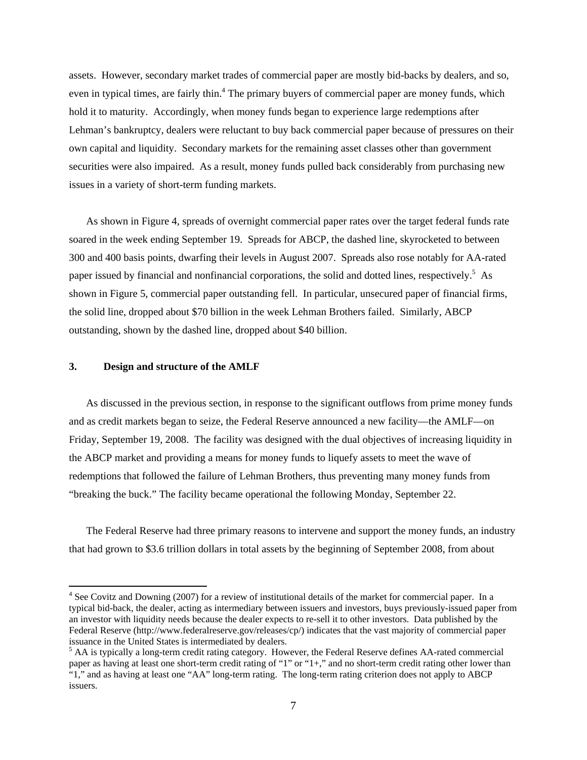assets. However, secondary market trades of commercial paper are mostly bid-backs by dealers, and so, even in typical times, are fairly thin.<sup>4</sup> The primary buyers of commercial paper are money funds, which hold it to maturity. Accordingly, when money funds began to experience large redemptions after Lehman's bankruptcy, dealers were reluctant to buy back commercial paper because of pressures on their own capital and liquidity. Secondary markets for the remaining asset classes other than government securities were also impaired. As a result, money funds pulled back considerably from purchasing new issues in a variety of short-term funding markets.

As shown in Figure 4, spreads of overnight commercial paper rates over the target federal funds rate soared in the week ending September 19. Spreads for ABCP, the dashed line, skyrocketed to between 300 and 400 basis points, dwarfing their levels in August 2007. Spreads also rose notably for AA-rated paper issued by financial and nonfinancial corporations, the solid and dotted lines, respectively.<sup>5</sup> As shown in Figure 5, commercial paper outstanding fell. In particular, unsecured paper of financial firms, the solid line, dropped about \$70 billion in the week Lehman Brothers failed. Similarly, ABCP outstanding, shown by the dashed line, dropped about \$40 billion.

#### **3. Design and structure of the AMLF**

 $\overline{a}$ 

As discussed in the previous section, in response to the significant outflows from prime money funds and as credit markets began to seize, the Federal Reserve announced a new facility—the AMLF—on Friday, September 19, 2008. The facility was designed with the dual objectives of increasing liquidity in the ABCP market and providing a means for money funds to liquefy assets to meet the wave of redemptions that followed the failure of Lehman Brothers, thus preventing many money funds from "breaking the buck." The facility became operational the following Monday, September 22.

The Federal Reserve had three primary reasons to intervene and support the money funds, an industry that had grown to \$3.6 trillion dollars in total assets by the beginning of September 2008, from about

<sup>&</sup>lt;sup>4</sup> See Covitz and Downing (2007) for a review of institutional details of the market for commercial paper. In a typical bid-back, the dealer, acting as intermediary between issuers and investors, buys previously-issued paper from an investor with liquidity needs because the dealer expects to re-sell it to other investors. Data published by the Federal Reserve (http://www.federalreserve.gov/releases/cp/) indicates that the vast majority of commercial paper issuance in the United States is intermediated by dealers.

<sup>&</sup>lt;sup>5</sup> AA is typically a long-term credit rating category. However, the Federal Reserve defines AA-rated commercial paper as having at least one short-term credit rating of "1" or "1+," and no short-term credit rating other lower than "1," and as having at least one "AA" long-term rating. The long-term rating criterion does not apply to ABCP issuers.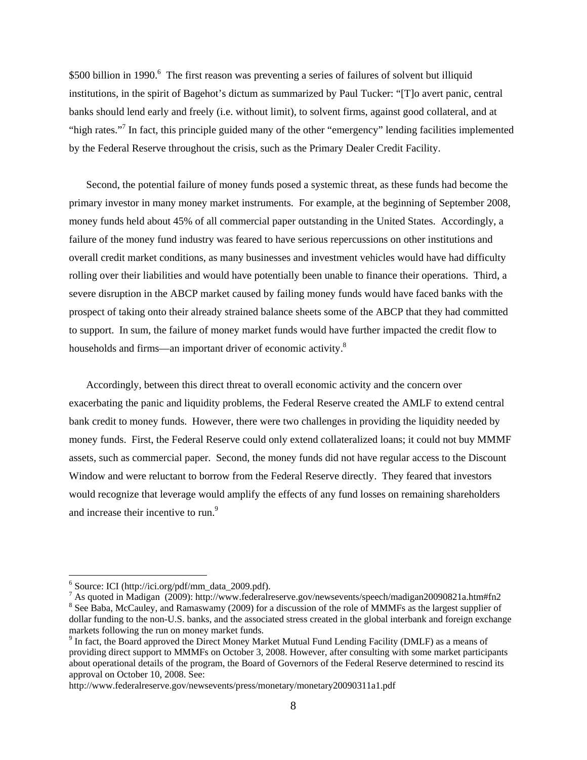\$500 billion in 1990.<sup>6</sup> The first reason was preventing a series of failures of solvent but illiquid institutions, in the spirit of Bagehot's dictum as summarized by Paul Tucker: "[T]o avert panic, central banks should lend early and freely (i.e. without limit), to solvent firms, against good collateral, and at "high rates."<sup>7</sup> In fact, this principle guided many of the other "emergency" lending facilities implemented by the Federal Reserve throughout the crisis, such as the Primary Dealer Credit Facility.

Second, the potential failure of money funds posed a systemic threat, as these funds had become the primary investor in many money market instruments. For example, at the beginning of September 2008, money funds held about 45% of all commercial paper outstanding in the United States. Accordingly, a failure of the money fund industry was feared to have serious repercussions on other institutions and overall credit market conditions, as many businesses and investment vehicles would have had difficulty rolling over their liabilities and would have potentially been unable to finance their operations. Third, a severe disruption in the ABCP market caused by failing money funds would have faced banks with the prospect of taking onto their already strained balance sheets some of the ABCP that they had committed to support. In sum, the failure of money market funds would have further impacted the credit flow to households and firms—an important driver of economic activity.<sup>8</sup>

Accordingly, between this direct threat to overall economic activity and the concern over exacerbating the panic and liquidity problems, the Federal Reserve created the AMLF to extend central bank credit to money funds. However, there were two challenges in providing the liquidity needed by money funds. First, the Federal Reserve could only extend collateralized loans; it could not buy MMMF assets, such as commercial paper. Second, the money funds did not have regular access to the Discount Window and were reluctant to borrow from the Federal Reserve directly. They feared that investors would recognize that leverage would amplify the effects of any fund losses on remaining shareholders and increase their incentive to run.<sup>9</sup>

 $\overline{a}$ 

 $6$  Source: ICI (http://ici.org/pdf/mm\_data\_2009.pdf).

<sup>&</sup>lt;sup>7</sup> As quoted in Madigan (2009): http://www.federalreserve.gov/newsevents/speech/madigan20090821a.htm#fn2  $\frac{8}{3}$  See Rebe, McCeyley, and Remeasuremy (2000) for a discussion of the role of MMMEs as the largest symplics <sup>8</sup> See Baba, McCauley, and Ramaswamy (2009) for a discussion of the role of MMMFs as the largest supplier of dollar funding to the non-U.S. banks, and the associated stress created in the global interbank and foreign exchange markets following the run on money market funds.

<sup>&</sup>lt;sup>9</sup> In fact, the Board approved the Direct Money Market Mutual Fund Lending Facility (DMLF) as a means of providing direct support to MMMFs on October 3, 2008. However, after consulting with some market participants about operational details of the program, the Board of Governors of the Federal Reserve determined to rescind its approval on October 10, 2008. See:

http://www.federalreserve.gov/newsevents/press/monetary/monetary20090311a1.pdf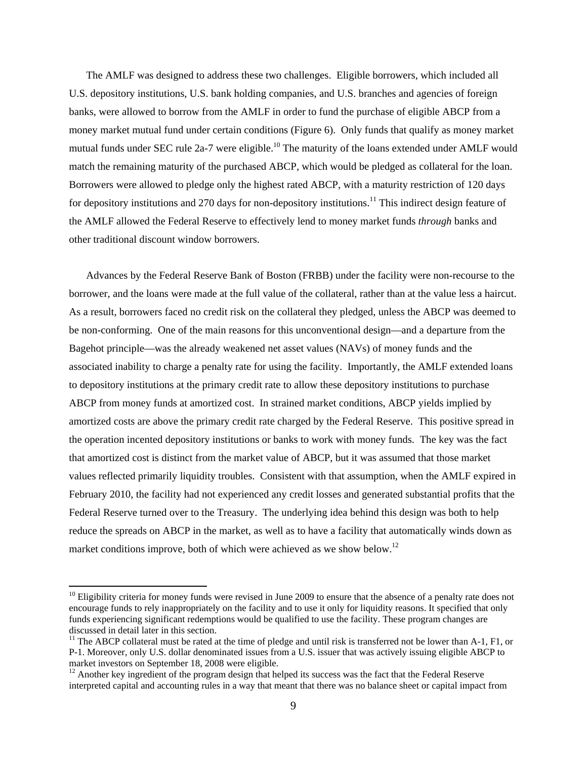The AMLF was designed to address these two challenges. Eligible borrowers, which included all U.S. depository institutions, U.S. bank holding companies, and U.S. branches and agencies of foreign banks, were allowed to borrow from the AMLF in order to fund the purchase of eligible ABCP from a money market mutual fund under certain conditions (Figure 6). Only funds that qualify as money market mutual funds under SEC rule 2a-7 were eligible.<sup>10</sup> The maturity of the loans extended under AMLF would match the remaining maturity of the purchased ABCP, which would be pledged as collateral for the loan. Borrowers were allowed to pledge only the highest rated ABCP, with a maturity restriction of 120 days for depository institutions and 270 days for non-depository institutions.<sup>11</sup> This indirect design feature of the AMLF allowed the Federal Reserve to effectively lend to money market funds *through* banks and other traditional discount window borrowers.

Advances by the Federal Reserve Bank of Boston (FRBB) under the facility were non-recourse to the borrower, and the loans were made at the full value of the collateral, rather than at the value less a haircut. As a result, borrowers faced no credit risk on the collateral they pledged, unless the ABCP was deemed to be non-conforming. One of the main reasons for this unconventional design—and a departure from the Bagehot principle—was the already weakened net asset values (NAVs) of money funds and the associated inability to charge a penalty rate for using the facility. Importantly, the AMLF extended loans to depository institutions at the primary credit rate to allow these depository institutions to purchase ABCP from money funds at amortized cost. In strained market conditions, ABCP yields implied by amortized costs are above the primary credit rate charged by the Federal Reserve. This positive spread in the operation incented depository institutions or banks to work with money funds. The key was the fact that amortized cost is distinct from the market value of ABCP, but it was assumed that those market values reflected primarily liquidity troubles. Consistent with that assumption, when the AMLF expired in February 2010, the facility had not experienced any credit losses and generated substantial profits that the Federal Reserve turned over to the Treasury. The underlying idea behind this design was both to help reduce the spreads on ABCP in the market, as well as to have a facility that automatically winds down as market conditions improve, both of which were achieved as we show below.<sup>12</sup>

 $\overline{a}$ 

 $10$  Eligibility criteria for money funds were revised in June 2009 to ensure that the absence of a penalty rate does not encourage funds to rely inappropriately on the facility and to use it only for liquidity reasons. It specified that only funds experiencing significant redemptions would be qualified to use the facility. These program changes are discussed in detail later in this section.

 $11$  The ABCP collateral must be rated at the time of pledge and until risk is transferred not be lower than A-1, F1, or P-1. Moreover, only U.S. dollar denominated issues from a U.S. issuer that was actively issuing eligible ABCP to market investors on September 18, 2008 were eligible.

<sup>&</sup>lt;sup>12</sup> Another key ingredient of the program design that helped its success was the fact that the Federal Reserve interpreted capital and accounting rules in a way that meant that there was no balance sheet or capital impact from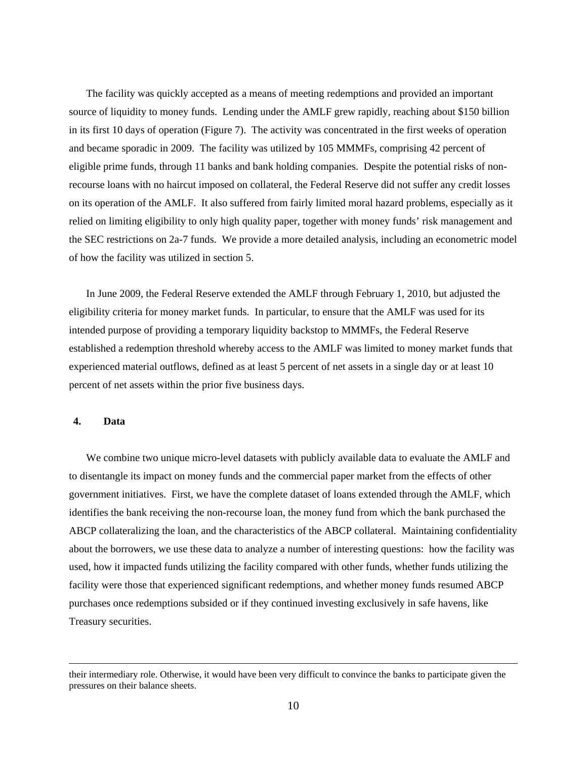The facility was quickly accepted as a means of meeting redemptions and provided an important source of liquidity to money funds. Lending under the AMLF grew rapidly, reaching about \$150 billion in its first 10 days of operation (Figure 7). The activity was concentrated in the first weeks of operation and became sporadic in 2009. The facility was utilized by 105 MMMFs, comprising 42 percent of eligible prime funds, through 11 banks and bank holding companies. Despite the potential risks of nonrecourse loans with no haircut imposed on collateral, the Federal Reserve did not suffer any credit losses on its operation of the AMLF. It also suffered from fairly limited moral hazard problems, especially as it relied on limiting eligibility to only high quality paper, together with money funds' risk management and the SEC restrictions on 2a-7 funds. We provide a more detailed analysis, including an econometric model of how the facility was utilized in section 5.

In June 2009, the Federal Reserve extended the AMLF through February 1, 2010, but adjusted the eligibility criteria for money market funds. In particular, to ensure that the AMLF was used for its intended purpose of providing a temporary liquidity backstop to MMMFs, the Federal Reserve established a redemption threshold whereby access to the AMLF was limited to money market funds that experienced material outflows, defined as at least 5 percent of net assets in a single day or at least 10 percent of net assets within the prior five business days.

#### **4. Data**

We combine two unique micro-level datasets with publicly available data to evaluate the AMLF and to disentangle its impact on money funds and the commercial paper market from the effects of other government initiatives. First, we have the complete dataset of loans extended through the AMLF, which identifies the bank receiving the non-recourse loan, the money fund from which the bank purchased the ABCP collateralizing the loan, and the characteristics of the ABCP collateral. Maintaining confidentiality about the borrowers, we use these data to analyze a number of interesting questions: how the facility was used, how it impacted funds utilizing the facility compared with other funds, whether funds utilizing the facility were those that experienced significant redemptions, and whether money funds resumed ABCP purchases once redemptions subsided or if they continued investing exclusively in safe havens, like Treasury securities.

their intermediary role. Otherwise, it would have been very difficult to convince the banks to participate given the pressures on their balance sheets.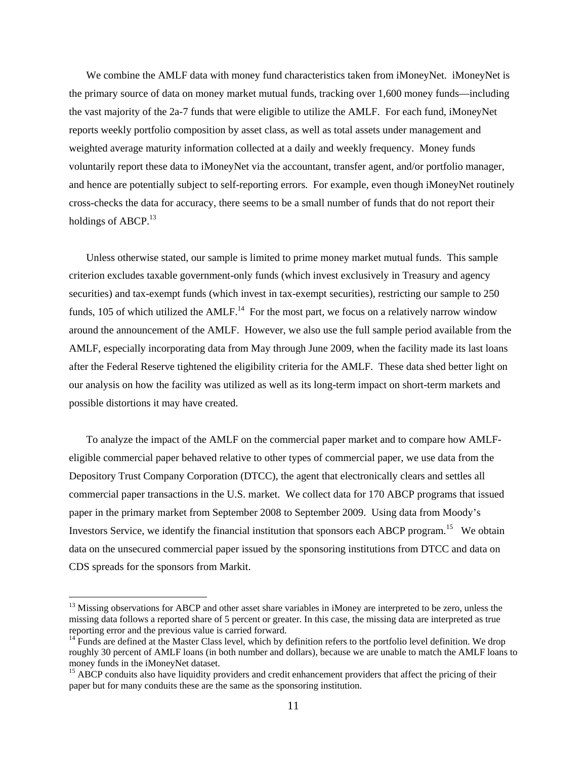We combine the AMLF data with money fund characteristics taken from iMoneyNet. iMoneyNet is the primary source of data on money market mutual funds, tracking over 1,600 money funds—including the vast majority of the 2a-7 funds that were eligible to utilize the AMLF. For each fund, iMoneyNet reports weekly portfolio composition by asset class, as well as total assets under management and weighted average maturity information collected at a daily and weekly frequency. Money funds voluntarily report these data to iMoneyNet via the accountant, transfer agent, and/or portfolio manager, and hence are potentially subject to self-reporting errors. For example, even though iMoneyNet routinely cross-checks the data for accuracy, there seems to be a small number of funds that do not report their holdings of ABCP. $^{13}$ 

Unless otherwise stated, our sample is limited to prime money market mutual funds. This sample criterion excludes taxable government-only funds (which invest exclusively in Treasury and agency securities) and tax-exempt funds (which invest in tax-exempt securities), restricting our sample to 250 funds, 105 of which utilized the  $AMLF<sup>14</sup>$ . For the most part, we focus on a relatively narrow window around the announcement of the AMLF. However, we also use the full sample period available from the AMLF, especially incorporating data from May through June 2009, when the facility made its last loans after the Federal Reserve tightened the eligibility criteria for the AMLF. These data shed better light on our analysis on how the facility was utilized as well as its long-term impact on short-term markets and possible distortions it may have created.

To analyze the impact of the AMLF on the commercial paper market and to compare how AMLFeligible commercial paper behaved relative to other types of commercial paper, we use data from the Depository Trust Company Corporation (DTCC), the agent that electronically clears and settles all commercial paper transactions in the U.S. market. We collect data for 170 ABCP programs that issued paper in the primary market from September 2008 to September 2009. Using data from Moody's Investors Service, we identify the financial institution that sponsors each ABCP program.<sup>15</sup> We obtain data on the unsecured commercial paper issued by the sponsoring institutions from DTCC and data on CDS spreads for the sponsors from Markit.

 $\overline{a}$ 

 $<sup>13</sup>$  Missing observations for ABCP and other asset share variables in iMoney are interpreted to be zero, unless the</sup> missing data follows a reported share of 5 percent or greater. In this case, the missing data are interpreted as true reporting error and the previous value is carried forward.<br><sup>14</sup> Funds are defined at the Master Class level, which by definition refers to the portfolio level definition. We drop

roughly 30 percent of AMLF loans (in both number and dollars), because we are unable to match the AMLF loans to money funds in the iMoneyNet dataset.

<sup>&</sup>lt;sup>15</sup> ABCP conduits also have liquidity providers and credit enhancement providers that affect the pricing of their paper but for many conduits these are the same as the sponsoring institution.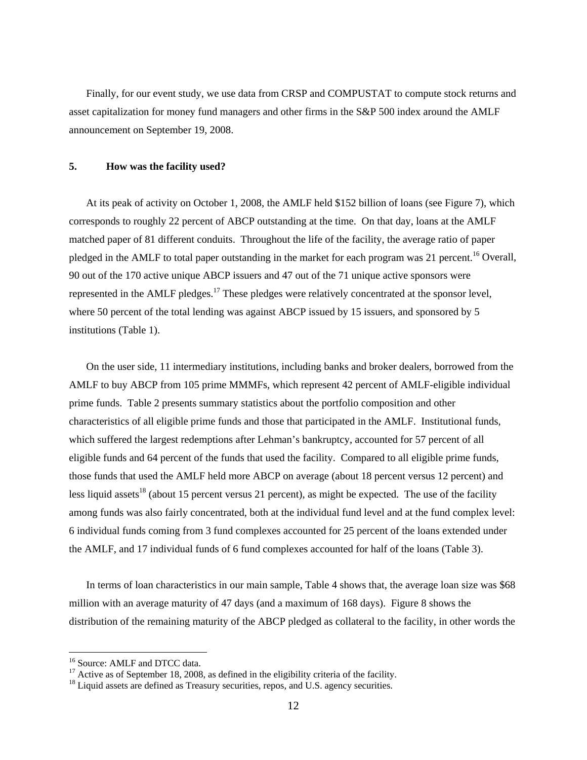Finally, for our event study, we use data from CRSP and COMPUSTAT to compute stock returns and asset capitalization for money fund managers and other firms in the S&P 500 index around the AMLF announcement on September 19, 2008.

#### **5. How was the facility used?**

At its peak of activity on October 1, 2008, the AMLF held \$152 billion of loans (see Figure 7), which corresponds to roughly 22 percent of ABCP outstanding at the time. On that day, loans at the AMLF matched paper of 81 different conduits. Throughout the life of the facility, the average ratio of paper pledged in the AMLF to total paper outstanding in the market for each program was 21 percent.<sup>16</sup> Overall, 90 out of the 170 active unique ABCP issuers and 47 out of the 71 unique active sponsors were represented in the AMLF pledges.<sup>17</sup> These pledges were relatively concentrated at the sponsor level, where 50 percent of the total lending was against ABCP issued by 15 issuers, and sponsored by 5 institutions (Table 1).

On the user side, 11 intermediary institutions, including banks and broker dealers, borrowed from the AMLF to buy ABCP from 105 prime MMMFs, which represent 42 percent of AMLF-eligible individual prime funds. Table 2 presents summary statistics about the portfolio composition and other characteristics of all eligible prime funds and those that participated in the AMLF. Institutional funds, which suffered the largest redemptions after Lehman's bankruptcy, accounted for 57 percent of all eligible funds and 64 percent of the funds that used the facility. Compared to all eligible prime funds, those funds that used the AMLF held more ABCP on average (about 18 percent versus 12 percent) and less liquid assets<sup>18</sup> (about 15 percent versus 21 percent), as might be expected. The use of the facility among funds was also fairly concentrated, both at the individual fund level and at the fund complex level: 6 individual funds coming from 3 fund complexes accounted for 25 percent of the loans extended under the AMLF, and 17 individual funds of 6 fund complexes accounted for half of the loans (Table 3).

In terms of loan characteristics in our main sample, Table 4 shows that, the average loan size was \$68 million with an average maturity of 47 days (and a maximum of 168 days). Figure 8 shows the distribution of the remaining maturity of the ABCP pledged as collateral to the facility, in other words the

 $\overline{a}$ 

<sup>16</sup> Source: AMLF and DTCC data.

 $17$  Active as of September 18, 2008, as defined in the eligibility criteria of the facility.

 $18$  Liquid assets are defined as Treasury securities, repos, and U.S. agency securities.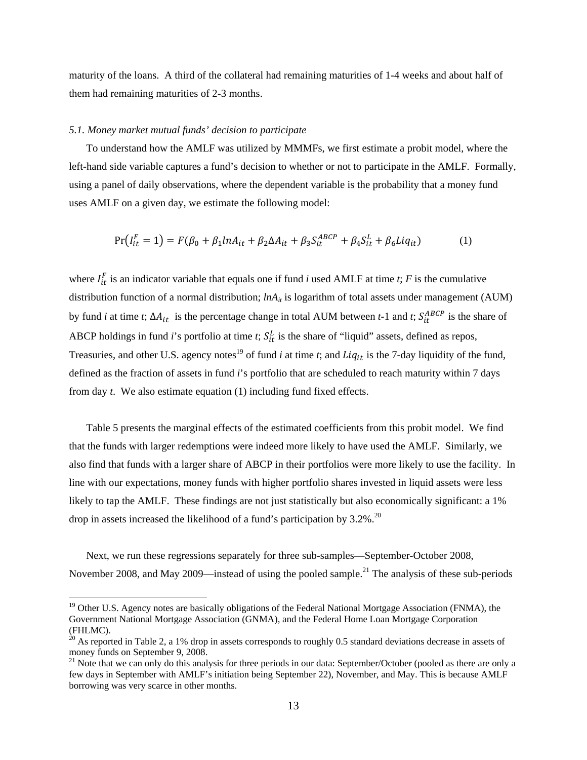maturity of the loans. A third of the collateral had remaining maturities of 1-4 weeks and about half of them had remaining maturities of 2-3 months.

#### *5.1. Money market mutual funds' decision to participate*

 $\overline{a}$ 

To understand how the AMLF was utilized by MMMFs, we first estimate a probit model, where the left-hand side variable captures a fund's decision to whether or not to participate in the AMLF. Formally, using a panel of daily observations, where the dependent variable is the probability that a money fund uses AMLF on a given day, we estimate the following model:

$$
Pr(I_{it}^{F} = 1) = F(\beta_0 + \beta_1 ln A_{it} + \beta_2 \Delta A_{it} + \beta_3 S_{it}^{ABCP} + \beta_4 S_{it}^{L} + \beta_6 Li q_{it})
$$
(1)

where  $I_{it}^F$  is an indicator variable that equals one if fund *i* used AMLF at time *t*; *F* is the cumulative distribution function of a normal distribution; *lnA<sub>it</sub>* is logarithm of total assets under management (AUM) by fund *i* at time *t*;  $\Delta A_{it}$  is the percentage change in total AUM between *t*-1 and *t*;  $S_{it}^{ABCP}$  is the share of ABCP holdings in fund *i*'s portfolio at time *t*;  $S_{it}^L$  is the share of "liquid" assets, defined as repos, Treasuries, and other U.S. agency notes<sup>19</sup> of fund *i* at time *t*; and  $Liq_{it}$  is the 7-day liquidity of the fund, defined as the fraction of assets in fund *i*'s portfolio that are scheduled to reach maturity within 7 days from day *t*. We also estimate equation (1) including fund fixed effects.

Table 5 presents the marginal effects of the estimated coefficients from this probit model. We find that the funds with larger redemptions were indeed more likely to have used the AMLF. Similarly, we also find that funds with a larger share of ABCP in their portfolios were more likely to use the facility. In line with our expectations, money funds with higher portfolio shares invested in liquid assets were less likely to tap the AMLF. These findings are not just statistically but also economically significant: a 1% drop in assets increased the likelihood of a fund's participation by  $3.2\%$ <sup>20</sup>

Next, we run these regressions separately for three sub-samples—September-October 2008, November 2008, and May 2009—instead of using the pooled sample.<sup>21</sup> The analysis of these sub-periods

<sup>&</sup>lt;sup>19</sup> Other U.S. Agency notes are basically obligations of the Federal National Mortgage Association (FNMA), the Government National Mortgage Association (GNMA), and the Federal Home Loan Mortgage Corporation (FHLMC).

 $^{20}$  As reported in Table 2, a 1% drop in assets corresponds to roughly 0.5 standard deviations decrease in assets of money funds on September 9, 2008.

<sup>&</sup>lt;sup>21</sup> Note that we can only do this analysis for three periods in our data: September/October (pooled as there are only a few days in September with AMLF's initiation being September 22), November, and May. This is because AMLF borrowing was very scarce in other months.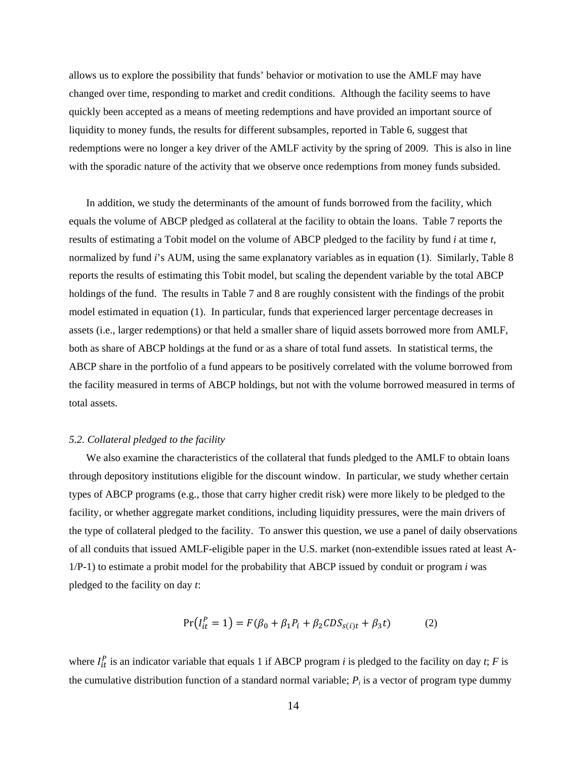allows us to explore the possibility that funds' behavior or motivation to use the AMLF may have changed over time, responding to market and credit conditions. Although the facility seems to have quickly been accepted as a means of meeting redemptions and have provided an important source of liquidity to money funds, the results for different subsamples, reported in Table 6, suggest that redemptions were no longer a key driver of the AMLF activity by the spring of 2009. This is also in line with the sporadic nature of the activity that we observe once redemptions from money funds subsided.

In addition, we study the determinants of the amount of funds borrowed from the facility, which equals the volume of ABCP pledged as collateral at the facility to obtain the loans. Table 7 reports the results of estimating a Tobit model on the volume of ABCP pledged to the facility by fund *i* at time *t*, normalized by fund *i*'s AUM, using the same explanatory variables as in equation (1). Similarly, Table 8 reports the results of estimating this Tobit model, but scaling the dependent variable by the total ABCP holdings of the fund. The results in Table 7 and 8 are roughly consistent with the findings of the probit model estimated in equation (1). In particular, funds that experienced larger percentage decreases in assets (i.e., larger redemptions) or that held a smaller share of liquid assets borrowed more from AMLF, both as share of ABCP holdings at the fund or as a share of total fund assets. In statistical terms, the ABCP share in the portfolio of a fund appears to be positively correlated with the volume borrowed from the facility measured in terms of ABCP holdings, but not with the volume borrowed measured in terms of total assets.

#### *5.2. Collateral pledged to the facility*

We also examine the characteristics of the collateral that funds pledged to the AMLF to obtain loans through depository institutions eligible for the discount window. In particular, we study whether certain types of ABCP programs (e.g., those that carry higher credit risk) were more likely to be pledged to the facility, or whether aggregate market conditions, including liquidity pressures, were the main drivers of the type of collateral pledged to the facility. To answer this question, we use a panel of daily observations of all conduits that issued AMLF-eligible paper in the U.S. market (non-extendible issues rated at least A-1/P-1) to estimate a probit model for the probability that ABCP issued by conduit or program *i* was pledged to the facility on day *t*:

$$
Pr(I_{it}^{P} = 1) = F(\beta_0 + \beta_1 P_i + \beta_2 CDS_{s(i)t} + \beta_3 t)
$$
 (2)

where  $I_{it}^{P}$  is an indicator variable that equals 1 if ABCP program *i* is pledged to the facility on day *t*; *F* is the cumulative distribution function of a standard normal variable;  $P_i$  is a vector of program type dummy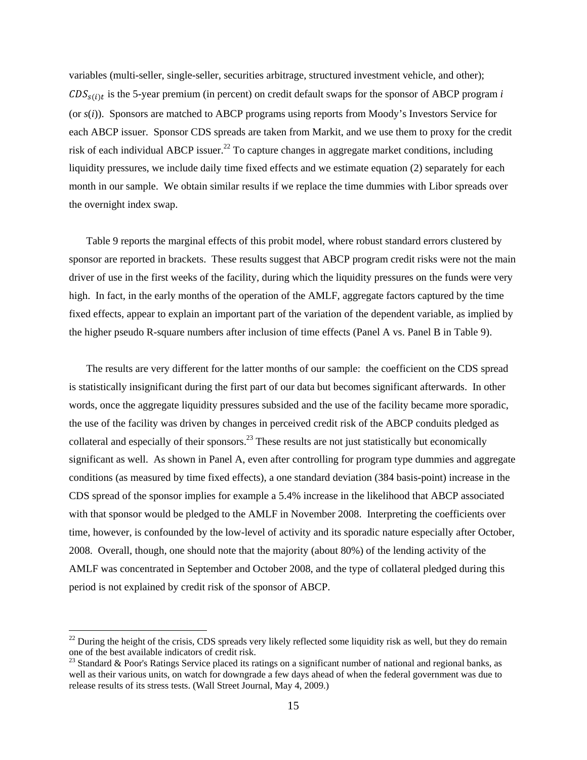variables (multi-seller, single-seller, securities arbitrage, structured investment vehicle, and other);  $CDS<sub>s(i)</sub>t$  is the 5-year premium (in percent) on credit default swaps for the sponsor of ABCP program *i* (or *s*(*i*)). Sponsors are matched to ABCP programs using reports from Moody's Investors Service for each ABCP issuer. Sponsor CDS spreads are taken from Markit, and we use them to proxy for the credit risk of each individual ABCP issuer.<sup>22</sup> To capture changes in aggregate market conditions, including liquidity pressures, we include daily time fixed effects and we estimate equation (2) separately for each month in our sample. We obtain similar results if we replace the time dummies with Libor spreads over the overnight index swap.

Table 9 reports the marginal effects of this probit model, where robust standard errors clustered by sponsor are reported in brackets. These results suggest that ABCP program credit risks were not the main driver of use in the first weeks of the facility, during which the liquidity pressures on the funds were very high. In fact, in the early months of the operation of the AMLF, aggregate factors captured by the time fixed effects, appear to explain an important part of the variation of the dependent variable, as implied by the higher pseudo R-square numbers after inclusion of time effects (Panel A vs. Panel B in Table 9).

The results are very different for the latter months of our sample: the coefficient on the CDS spread is statistically insignificant during the first part of our data but becomes significant afterwards. In other words, once the aggregate liquidity pressures subsided and the use of the facility became more sporadic, the use of the facility was driven by changes in perceived credit risk of the ABCP conduits pledged as collateral and especially of their sponsors.<sup>23</sup> These results are not just statistically but economically significant as well. As shown in Panel A, even after controlling for program type dummies and aggregate conditions (as measured by time fixed effects), a one standard deviation (384 basis-point) increase in the CDS spread of the sponsor implies for example a 5.4% increase in the likelihood that ABCP associated with that sponsor would be pledged to the AMLF in November 2008. Interpreting the coefficients over time, however, is confounded by the low-level of activity and its sporadic nature especially after October, 2008. Overall, though, one should note that the majority (about 80%) of the lending activity of the AMLF was concentrated in September and October 2008, and the type of collateral pledged during this period is not explained by credit risk of the sponsor of ABCP.

 $\overline{a}$ 

 $^{22}$  During the height of the crisis, CDS spreads very likely reflected some liquidity risk as well, but they do remain one of the best available indicators of credit risk.

 $^{23}$  Standard & Poor's Ratings Service placed its ratings on a significant number of national and regional banks, as well as their various units, on watch for downgrade a few days ahead of when the federal government was due to release results of its stress tests. (Wall Street Journal, May 4, 2009.)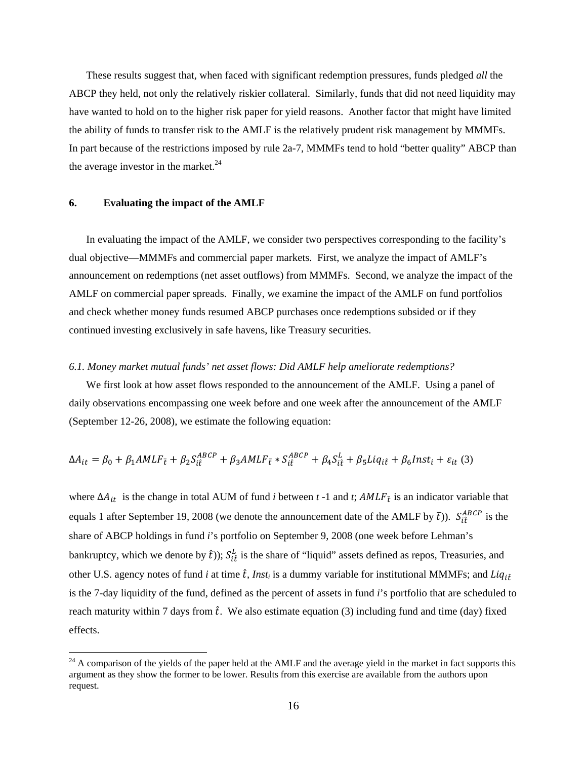These results suggest that, when faced with significant redemption pressures, funds pledged *all* the ABCP they held, not only the relatively riskier collateral. Similarly, funds that did not need liquidity may have wanted to hold on to the higher risk paper for yield reasons. Another factor that might have limited the ability of funds to transfer risk to the AMLF is the relatively prudent risk management by MMMFs. In part because of the restrictions imposed by rule 2a-7, MMMFs tend to hold "better quality" ABCP than the average investor in the market. $24$ 

#### **6. Evaluating the impact of the AMLF**

 $\overline{a}$ 

In evaluating the impact of the AMLF, we consider two perspectives corresponding to the facility's dual objective—MMMFs and commercial paper markets. First, we analyze the impact of AMLF's announcement on redemptions (net asset outflows) from MMMFs. Second, we analyze the impact of the AMLF on commercial paper spreads. Finally, we examine the impact of the AMLF on fund portfolios and check whether money funds resumed ABCP purchases once redemptions subsided or if they continued investing exclusively in safe havens, like Treasury securities.

#### *6.1. Money market mutual funds' net asset flows: Did AMLF help ameliorate redemptions?*

We first look at how asset flows responded to the announcement of the AMLF. Using a panel of daily observations encompassing one week before and one week after the announcement of the AMLF (September 12-26, 2008), we estimate the following equation:

$$
\Delta A_{it} = \beta_0 + \beta_1 AMLF_{\bar{t}} + \beta_2 S_{\hat{t}\hat{t}}^{ABCP} + \beta_3 AMLF_{\bar{t}} * S_{\hat{t}\hat{t}}^{ABCP} + \beta_4 S_{\hat{t}\hat{t}}^L + \beta_5 Liq_{\hat{t}\hat{t}} + \beta_6 Inst_i + \varepsilon_{it} (3)
$$

where  $\Delta A_{it}$  is the change in total AUM of fund *i* between *t* -1 and *t*;  $AMLF_{\bar{t}}$  is an indicator variable that equals 1 after September 19, 2008 (we denote the announcement date of the AMLF by  $\bar{t}$ )).  $S_{i\hat{t}}^{ABCP}$  is the share of ABCP holdings in fund *i*'s portfolio on September 9, 2008 (one week before Lehman's bankruptcy, which we denote by  $\hat{t}$ ));  $S_{i\hat{t}}^L$  is the share of "liquid" assets defined as repos, Treasuries, and other U.S. agency notes of fund *i* at time  $\hat{t}$ , *Inst<sub>i</sub>* is a dummy variable for institutional MMMFs; and *Liq<sub>if</sub>* is the 7-day liquidity of the fund, defined as the percent of assets in fund *i*'s portfolio that are scheduled to reach maturity within 7 days from  $\hat{t}$ . We also estimate equation (3) including fund and time (day) fixed effects.

 $24$  A comparison of the yields of the paper held at the AMLF and the average yield in the market in fact supports this argument as they show the former to be lower. Results from this exercise are available from the authors upon request.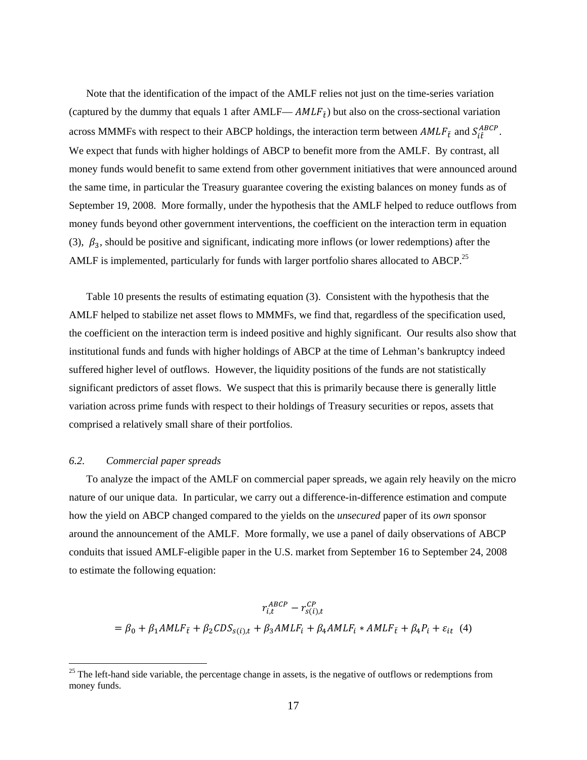Note that the identification of the impact of the AMLF relies not just on the time-series variation (captured by the dummy that equals 1 after AMLF—  $AMLF_{\bar{t}}$ ) but also on the cross-sectional variation across MMMFs with respect to their ABCP holdings, the interaction term between  $AMLF_{\bar{t}}$  and  $S_{t\hat{t}}^{ABCP}$ . We expect that funds with higher holdings of ABCP to benefit more from the AMLF. By contrast, all money funds would benefit to same extend from other government initiatives that were announced around the same time, in particular the Treasury guarantee covering the existing balances on money funds as of September 19, 2008. More formally, under the hypothesis that the AMLF helped to reduce outflows from money funds beyond other government interventions, the coefficient on the interaction term in equation (3),  $\beta_3$ , should be positive and significant, indicating more inflows (or lower redemptions) after the AMLF is implemented, particularly for funds with larger portfolio shares allocated to ABCP.<sup>25</sup>

Table 10 presents the results of estimating equation (3). Consistent with the hypothesis that the AMLF helped to stabilize net asset flows to MMMFs, we find that, regardless of the specification used, the coefficient on the interaction term is indeed positive and highly significant. Our results also show that institutional funds and funds with higher holdings of ABCP at the time of Lehman's bankruptcy indeed suffered higher level of outflows. However, the liquidity positions of the funds are not statistically significant predictors of asset flows. We suspect that this is primarily because there is generally little variation across prime funds with respect to their holdings of Treasury securities or repos, assets that comprised a relatively small share of their portfolios.

#### *6.2. Commercial paper spreads*

 $\overline{a}$ 

To analyze the impact of the AMLF on commercial paper spreads, we again rely heavily on the micro nature of our unique data. In particular, we carry out a difference-in-difference estimation and compute how the yield on ABCP changed compared to the yields on the *unsecured* paper of its *own* sponsor around the announcement of the AMLF. More formally, we use a panel of daily observations of ABCP conduits that issued AMLF-eligible paper in the U.S. market from September 16 to September 24, 2008 to estimate the following equation:

$$
r_{i,t}^{ABCP} - r_{s(i),t}^{CP}
$$
  
=  $\beta_0 + \beta_1 AMLF_{\bar{t}} + \beta_2 CDS_{s(i),t} + \beta_3 AMLF_i + \beta_4 AMLF_i * AMLF_{\bar{t}} + \beta_4 P_i + \varepsilon_{it}$  (4)

 $25$  The left-hand side variable, the percentage change in assets, is the negative of outflows or redemptions from money funds.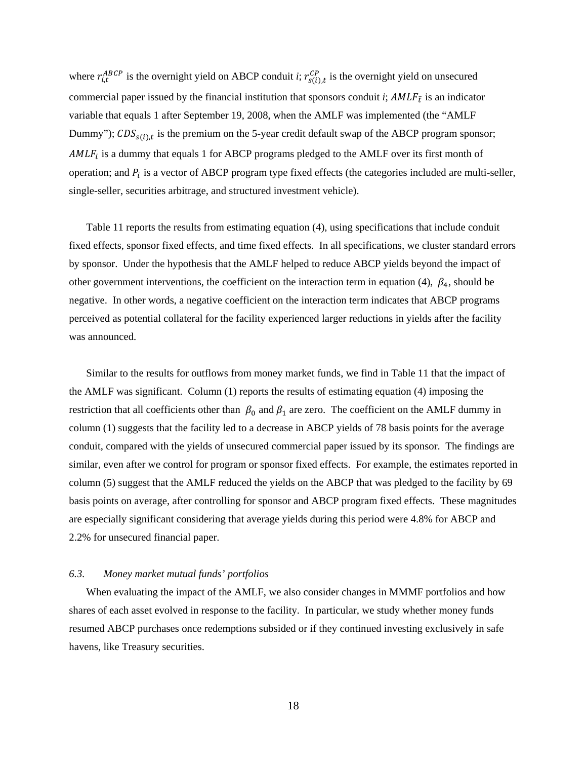where  $r_{i,t}^{ABCP}$  is the overnight yield on ABCP conduit *i*;  $r_{s(i),t}^{CP}$  is the overnight yield on unsecured commercial paper issued by the financial institution that sponsors conduit *i*;  $AMLF_{\bar{t}}$  is an indicator variable that equals 1 after September 19, 2008, when the AMLF was implemented (the "AMLF Dummy");  $CDS<sub>s(i), t</sub>$  is the premium on the 5-year credit default swap of the ABCP program sponsor;  $AMLF$ <sub>i</sub> is a dummy that equals 1 for ABCP programs pledged to the AMLF over its first month of operation; and  $P_i$  is a vector of ABCP program type fixed effects (the categories included are multi-seller, single-seller, securities arbitrage, and structured investment vehicle).

Table 11 reports the results from estimating equation (4), using specifications that include conduit fixed effects, sponsor fixed effects, and time fixed effects. In all specifications, we cluster standard errors by sponsor. Under the hypothesis that the AMLF helped to reduce ABCP yields beyond the impact of other government interventions, the coefficient on the interaction term in equation (4),  $\beta_4$ , should be negative. In other words, a negative coefficient on the interaction term indicates that ABCP programs perceived as potential collateral for the facility experienced larger reductions in yields after the facility was announced.

Similar to the results for outflows from money market funds, we find in Table 11 that the impact of the AMLF was significant. Column (1) reports the results of estimating equation (4) imposing the restriction that all coefficients other than  $\beta_0$  and  $\beta_1$  are zero. The coefficient on the AMLF dummy in column (1) suggests that the facility led to a decrease in ABCP yields of 78 basis points for the average conduit, compared with the yields of unsecured commercial paper issued by its sponsor. The findings are similar, even after we control for program or sponsor fixed effects. For example, the estimates reported in column (5) suggest that the AMLF reduced the yields on the ABCP that was pledged to the facility by 69 basis points on average, after controlling for sponsor and ABCP program fixed effects. These magnitudes are especially significant considering that average yields during this period were 4.8% for ABCP and 2.2% for unsecured financial paper.

#### *6.3. Money market mutual funds' portfolios*

When evaluating the impact of the AMLF, we also consider changes in MMMF portfolios and how shares of each asset evolved in response to the facility. In particular, we study whether money funds resumed ABCP purchases once redemptions subsided or if they continued investing exclusively in safe havens, like Treasury securities.

18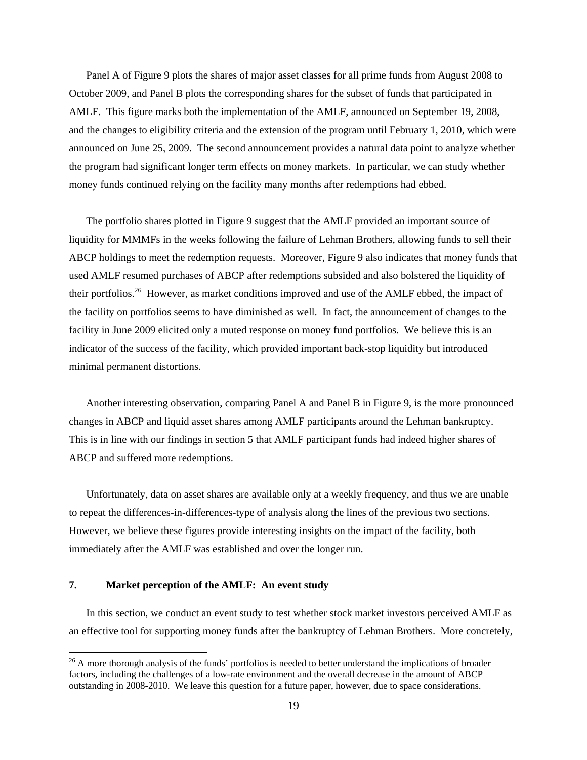Panel A of Figure 9 plots the shares of major asset classes for all prime funds from August 2008 to October 2009, and Panel B plots the corresponding shares for the subset of funds that participated in AMLF. This figure marks both the implementation of the AMLF, announced on September 19, 2008, and the changes to eligibility criteria and the extension of the program until February 1, 2010, which were announced on June 25, 2009. The second announcement provides a natural data point to analyze whether the program had significant longer term effects on money markets. In particular, we can study whether money funds continued relying on the facility many months after redemptions had ebbed.

The portfolio shares plotted in Figure 9 suggest that the AMLF provided an important source of liquidity for MMMFs in the weeks following the failure of Lehman Brothers, allowing funds to sell their ABCP holdings to meet the redemption requests. Moreover, Figure 9 also indicates that money funds that used AMLF resumed purchases of ABCP after redemptions subsided and also bolstered the liquidity of their portfolios.<sup>26</sup> However, as market conditions improved and use of the AMLF ebbed, the impact of the facility on portfolios seems to have diminished as well. In fact, the announcement of changes to the facility in June 2009 elicited only a muted response on money fund portfolios. We believe this is an indicator of the success of the facility, which provided important back-stop liquidity but introduced minimal permanent distortions.

Another interesting observation, comparing Panel A and Panel B in Figure 9, is the more pronounced changes in ABCP and liquid asset shares among AMLF participants around the Lehman bankruptcy. This is in line with our findings in section 5 that AMLF participant funds had indeed higher shares of ABCP and suffered more redemptions.

Unfortunately, data on asset shares are available only at a weekly frequency, and thus we are unable to repeat the differences-in-differences-type of analysis along the lines of the previous two sections. However, we believe these figures provide interesting insights on the impact of the facility, both immediately after the AMLF was established and over the longer run.

#### **7. Market perception of the AMLF: An event study**

 $\overline{a}$ 

In this section, we conduct an event study to test whether stock market investors perceived AMLF as an effective tool for supporting money funds after the bankruptcy of Lehman Brothers. More concretely,

<sup>&</sup>lt;sup>26</sup> A more thorough analysis of the funds' portfolios is needed to better understand the implications of broader factors, including the challenges of a low-rate environment and the overall decrease in the amount of ABCP outstanding in 2008-2010. We leave this question for a future paper, however, due to space considerations.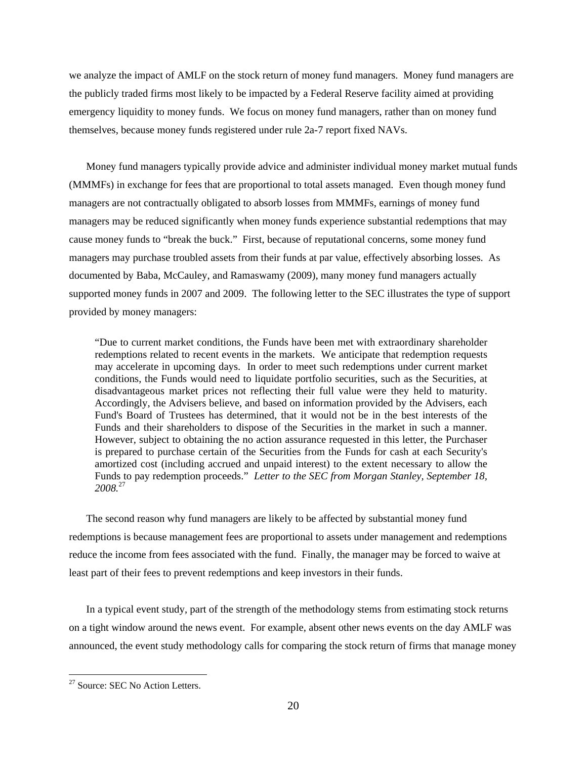we analyze the impact of AMLF on the stock return of money fund managers. Money fund managers are the publicly traded firms most likely to be impacted by a Federal Reserve facility aimed at providing emergency liquidity to money funds. We focus on money fund managers, rather than on money fund themselves, because money funds registered under rule 2a-7 report fixed NAVs.

Money fund managers typically provide advice and administer individual money market mutual funds (MMMFs) in exchange for fees that are proportional to total assets managed. Even though money fund managers are not contractually obligated to absorb losses from MMMFs, earnings of money fund managers may be reduced significantly when money funds experience substantial redemptions that may cause money funds to "break the buck." First, because of reputational concerns, some money fund managers may purchase troubled assets from their funds at par value, effectively absorbing losses. As documented by Baba, McCauley, and Ramaswamy (2009), many money fund managers actually supported money funds in 2007 and 2009. The following letter to the SEC illustrates the type of support provided by money managers:

"Due to current market conditions, the Funds have been met with extraordinary shareholder redemptions related to recent events in the markets. We anticipate that redemption requests may accelerate in upcoming days. In order to meet such redemptions under current market conditions, the Funds would need to liquidate portfolio securities, such as the Securities, at disadvantageous market prices not reflecting their full value were they held to maturity. Accordingly, the Advisers believe, and based on information provided by the Advisers, each Fund's Board of Trustees has determined, that it would not be in the best interests of the Funds and their shareholders to dispose of the Securities in the market in such a manner. However, subject to obtaining the no action assurance requested in this letter, the Purchaser is prepared to purchase certain of the Securities from the Funds for cash at each Security's amortized cost (including accrued and unpaid interest) to the extent necessary to allow the Funds to pay redemption proceeds." *Letter to the SEC from Morgan Stanley, September 18, 2008.*<sup>27</sup>

The second reason why fund managers are likely to be affected by substantial money fund redemptions is because management fees are proportional to assets under management and redemptions reduce the income from fees associated with the fund. Finally, the manager may be forced to waive at least part of their fees to prevent redemptions and keep investors in their funds.

In a typical event study, part of the strength of the methodology stems from estimating stock returns on a tight window around the news event. For example, absent other news events on the day AMLF was announced, the event study methodology calls for comparing the stock return of firms that manage money

 $\overline{a}$ 

<sup>&</sup>lt;sup>27</sup> Source: SEC No Action Letters.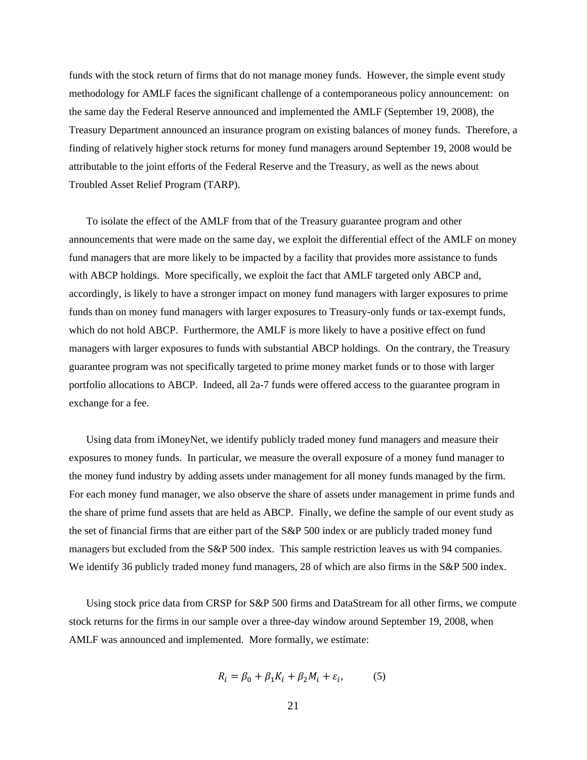funds with the stock return of firms that do not manage money funds. However, the simple event study methodology for AMLF faces the significant challenge of a contemporaneous policy announcement: on the same day the Federal Reserve announced and implemented the AMLF (September 19, 2008), the Treasury Department announced an insurance program on existing balances of money funds. Therefore, a finding of relatively higher stock returns for money fund managers around September 19, 2008 would be attributable to the joint efforts of the Federal Reserve and the Treasury, as well as the news about Troubled Asset Relief Program (TARP).

To isolate the effect of the AMLF from that of the Treasury guarantee program and other announcements that were made on the same day, we exploit the differential effect of the AMLF on money fund managers that are more likely to be impacted by a facility that provides more assistance to funds with ABCP holdings. More specifically, we exploit the fact that AMLF targeted only ABCP and, accordingly, is likely to have a stronger impact on money fund managers with larger exposures to prime funds than on money fund managers with larger exposures to Treasury-only funds or tax-exempt funds, which do not hold ABCP. Furthermore, the AMLF is more likely to have a positive effect on fund managers with larger exposures to funds with substantial ABCP holdings. On the contrary, the Treasury guarantee program was not specifically targeted to prime money market funds or to those with larger portfolio allocations to ABCP. Indeed, all 2a-7 funds were offered access to the guarantee program in exchange for a fee.

Using data from iMoneyNet, we identify publicly traded money fund managers and measure their exposures to money funds. In particular, we measure the overall exposure of a money fund manager to the money fund industry by adding assets under management for all money funds managed by the firm. For each money fund manager, we also observe the share of assets under management in prime funds and the share of prime fund assets that are held as ABCP. Finally, we define the sample of our event study as the set of financial firms that are either part of the S&P 500 index or are publicly traded money fund managers but excluded from the S&P 500 index. This sample restriction leaves us with 94 companies. We identify 36 publicly traded money fund managers, 28 of which are also firms in the S&P 500 index.

Using stock price data from CRSP for S&P 500 firms and DataStream for all other firms, we compute stock returns for the firms in our sample over a three-day window around September 19, 2008, when AMLF was announced and implemented. More formally, we estimate:

$$
R_i = \beta_0 + \beta_1 K_i + \beta_2 M_i + \varepsilon_i, \tag{5}
$$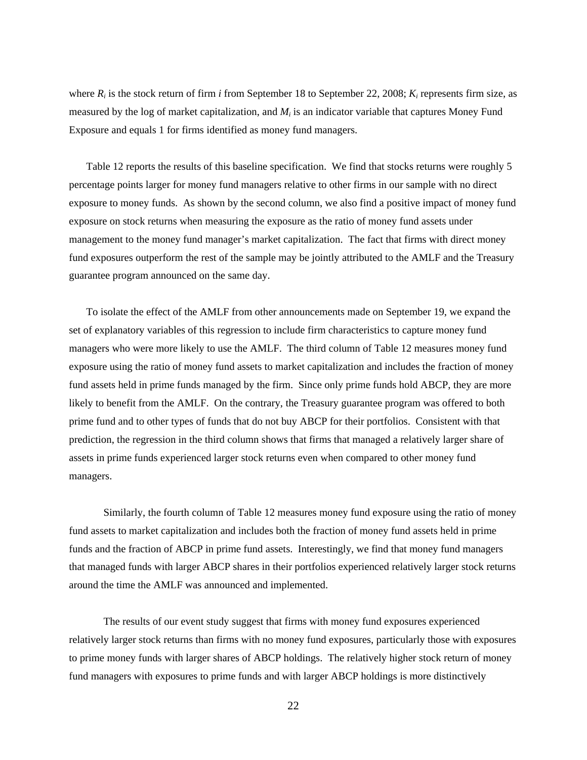where  $R_i$  is the stock return of firm *i* from September 18 to September 22, 2008;  $K_i$  represents firm size, as measured by the log of market capitalization, and *Mi* is an indicator variable that captures Money Fund Exposure and equals 1 for firms identified as money fund managers.

Table 12 reports the results of this baseline specification. We find that stocks returns were roughly 5 percentage points larger for money fund managers relative to other firms in our sample with no direct exposure to money funds. As shown by the second column, we also find a positive impact of money fund exposure on stock returns when measuring the exposure as the ratio of money fund assets under management to the money fund manager's market capitalization. The fact that firms with direct money fund exposures outperform the rest of the sample may be jointly attributed to the AMLF and the Treasury guarantee program announced on the same day.

To isolate the effect of the AMLF from other announcements made on September 19, we expand the set of explanatory variables of this regression to include firm characteristics to capture money fund managers who were more likely to use the AMLF. The third column of Table 12 measures money fund exposure using the ratio of money fund assets to market capitalization and includes the fraction of money fund assets held in prime funds managed by the firm. Since only prime funds hold ABCP, they are more likely to benefit from the AMLF. On the contrary, the Treasury guarantee program was offered to both prime fund and to other types of funds that do not buy ABCP for their portfolios. Consistent with that prediction, the regression in the third column shows that firms that managed a relatively larger share of assets in prime funds experienced larger stock returns even when compared to other money fund managers.

 Similarly, the fourth column of Table 12 measures money fund exposure using the ratio of money fund assets to market capitalization and includes both the fraction of money fund assets held in prime funds and the fraction of ABCP in prime fund assets. Interestingly, we find that money fund managers that managed funds with larger ABCP shares in their portfolios experienced relatively larger stock returns around the time the AMLF was announced and implemented.

 The results of our event study suggest that firms with money fund exposures experienced relatively larger stock returns than firms with no money fund exposures, particularly those with exposures to prime money funds with larger shares of ABCP holdings. The relatively higher stock return of money fund managers with exposures to prime funds and with larger ABCP holdings is more distinctively

22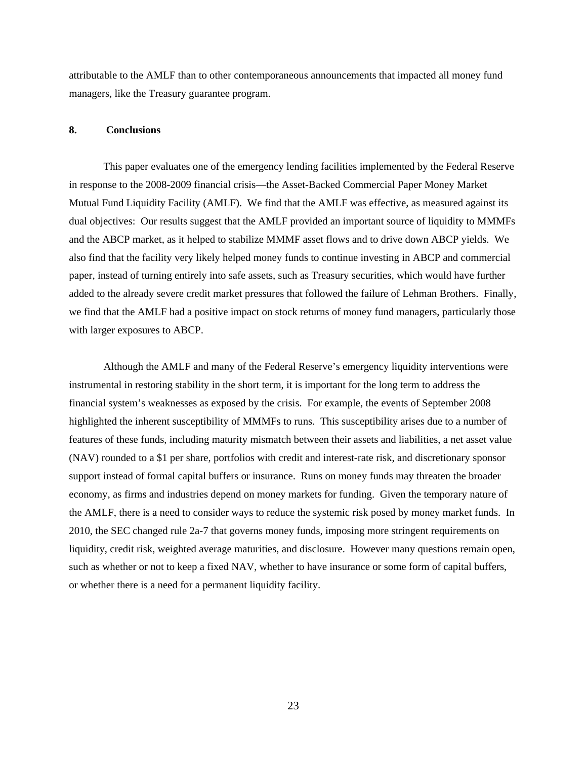attributable to the AMLF than to other contemporaneous announcements that impacted all money fund managers, like the Treasury guarantee program.

#### **8. Conclusions**

This paper evaluates one of the emergency lending facilities implemented by the Federal Reserve in response to the 2008-2009 financial crisis—the Asset-Backed Commercial Paper Money Market Mutual Fund Liquidity Facility (AMLF). We find that the AMLF was effective, as measured against its dual objectives: Our results suggest that the AMLF provided an important source of liquidity to MMMFs and the ABCP market, as it helped to stabilize MMMF asset flows and to drive down ABCP yields. We also find that the facility very likely helped money funds to continue investing in ABCP and commercial paper, instead of turning entirely into safe assets, such as Treasury securities, which would have further added to the already severe credit market pressures that followed the failure of Lehman Brothers. Finally, we find that the AMLF had a positive impact on stock returns of money fund managers, particularly those with larger exposures to ABCP.

Although the AMLF and many of the Federal Reserve's emergency liquidity interventions were instrumental in restoring stability in the short term, it is important for the long term to address the financial system's weaknesses as exposed by the crisis. For example, the events of September 2008 highlighted the inherent susceptibility of MMMFs to runs. This susceptibility arises due to a number of features of these funds, including maturity mismatch between their assets and liabilities, a net asset value (NAV) rounded to a \$1 per share, portfolios with credit and interest-rate risk, and discretionary sponsor support instead of formal capital buffers or insurance. Runs on money funds may threaten the broader economy, as firms and industries depend on money markets for funding. Given the temporary nature of the AMLF, there is a need to consider ways to reduce the systemic risk posed by money market funds. In 2010, the SEC changed rule 2a-7 that governs money funds, imposing more stringent requirements on liquidity, credit risk, weighted average maturities, and disclosure. However many questions remain open, such as whether or not to keep a fixed NAV, whether to have insurance or some form of capital buffers, or whether there is a need for a permanent liquidity facility.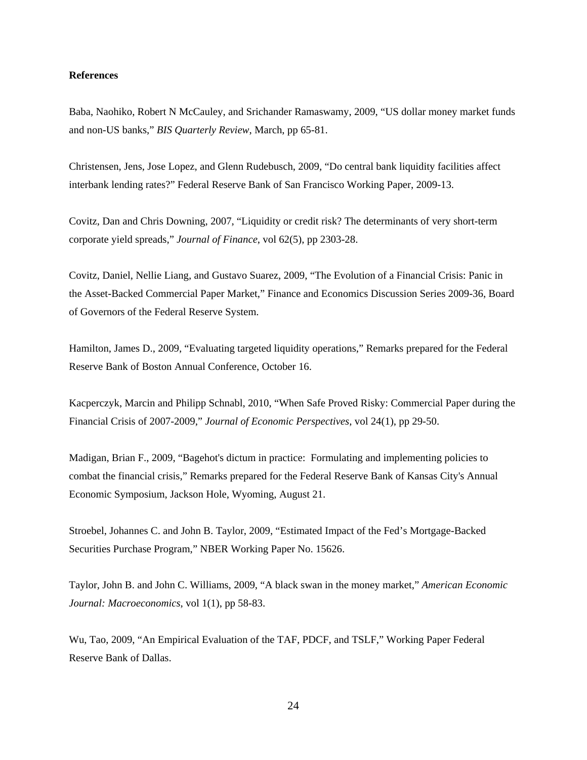#### **References**

Baba, Naohiko, Robert N McCauley, and Srichander Ramaswamy, 2009, "US dollar money market funds and non-US banks," *BIS Quarterly Review*, March, pp 65-81.

Christensen, Jens, Jose Lopez, and Glenn Rudebusch, 2009, "Do central bank liquidity facilities affect interbank lending rates?" Federal Reserve Bank of San Francisco Working Paper, 2009-13.

Covitz, Dan and Chris Downing, 2007, "Liquidity or credit risk? The determinants of very short-term corporate yield spreads," *Journal of Finance*, vol 62(5), pp 2303-28.

Covitz, Daniel, Nellie Liang, and Gustavo Suarez, 2009, "The Evolution of a Financial Crisis: Panic in the Asset-Backed Commercial Paper Market," Finance and Economics Discussion Series 2009-36, Board of Governors of the Federal Reserve System.

Hamilton, James D., 2009, "Evaluating targeted liquidity operations," Remarks prepared for the Federal Reserve Bank of Boston Annual Conference, October 16.

Kacperczyk, Marcin and Philipp Schnabl, 2010, "When Safe Proved Risky: Commercial Paper during the Financial Crisis of 2007-2009," *Journal of Economic Perspectives*, vol 24(1), pp 29-50.

Madigan, Brian F., 2009, "Bagehot's dictum in practice: Formulating and implementing policies to combat the financial crisis," Remarks prepared for the Federal Reserve Bank of Kansas City's Annual Economic Symposium, Jackson Hole, Wyoming, August 21.

Stroebel, Johannes C. and John B. Taylor, 2009, "Estimated Impact of the Fed's Mortgage-Backed Securities Purchase Program," NBER Working Paper No. 15626.

Taylor, John B. and John C. Williams, 2009, "A black swan in the money market," *American Economic Journal: Macroeconomics*, vol 1(1), pp 58-83.

Wu, Tao, 2009, "An Empirical Evaluation of the TAF, PDCF, and TSLF," Working Paper Federal Reserve Bank of Dallas.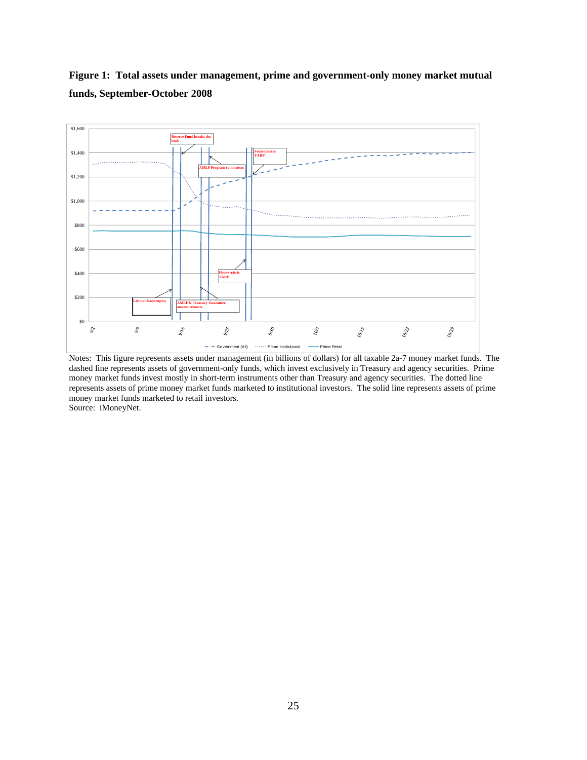

**Figure 1: Total assets under management, prime and government-only money market mutual funds, September-October 2008** 

Notes: This figure represents assets under management (in billions of dollars) for all taxable 2a-7 money market funds. The dashed line represents assets of government-only funds, which invest exclusively in Treasury and agency securities. Prime money market funds invest mostly in short-term instruments other than Treasury and agency securities. The dotted line represents assets of prime money market funds marketed to institutional investors. The solid line represents assets of prime money market funds marketed to retail investors.

Source: iMoneyNet.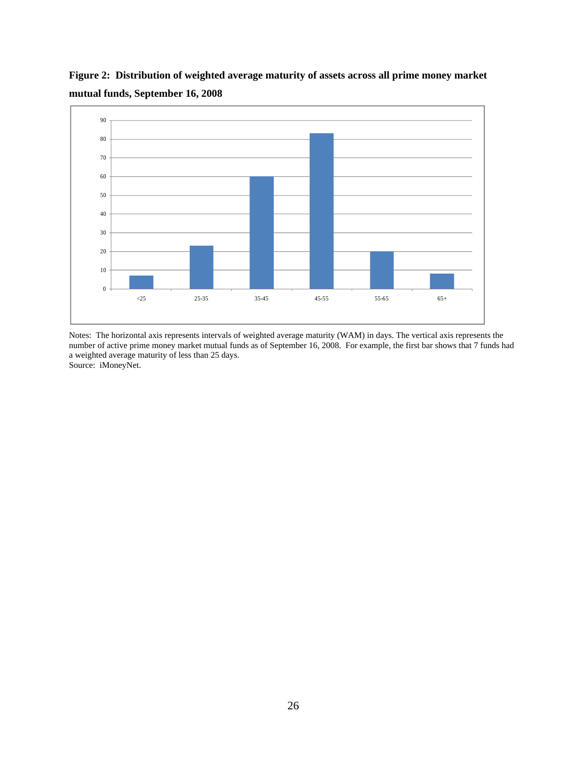![](_page_26_Figure_0.jpeg)

**Figure 2: Distribution of weighted average maturity of assets across all prime money market mutual funds, September 16, 2008** 

Notes: The horizontal axis represents intervals of weighted average maturity (WAM) in days. The vertical axis represents the number of active prime money market mutual funds as of September 16, 2008. For example, the first bar shows that 7 funds had a weighted average maturity of less than 25 days. Source: iMoneyNet.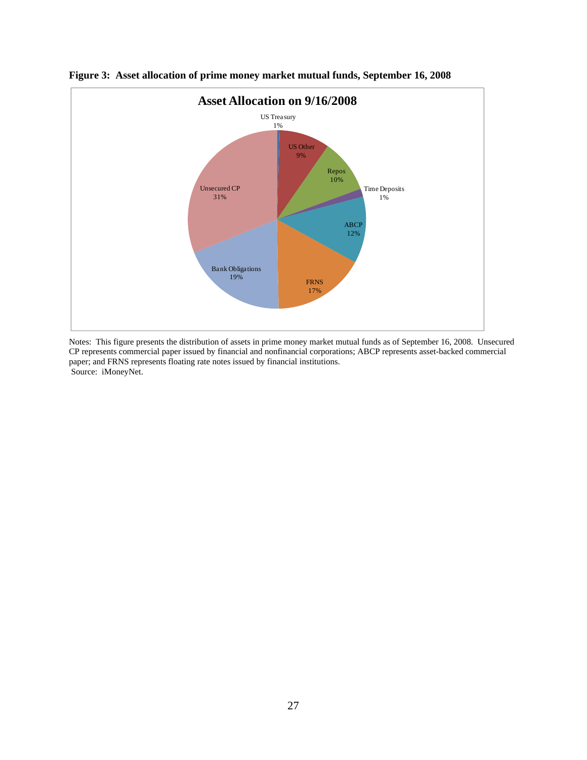![](_page_27_Figure_0.jpeg)

**Figure 3: Asset allocation of prime money market mutual funds, September 16, 2008** 

Notes: This figure presents the distribution of assets in prime money market mutual funds as of September 16, 2008. Unsecured CP represents commercial paper issued by financial and nonfinancial corporations; ABCP represents asset-backed commercial paper; and FRNS represents floating rate notes issued by financial institutions. Source: iMoneyNet.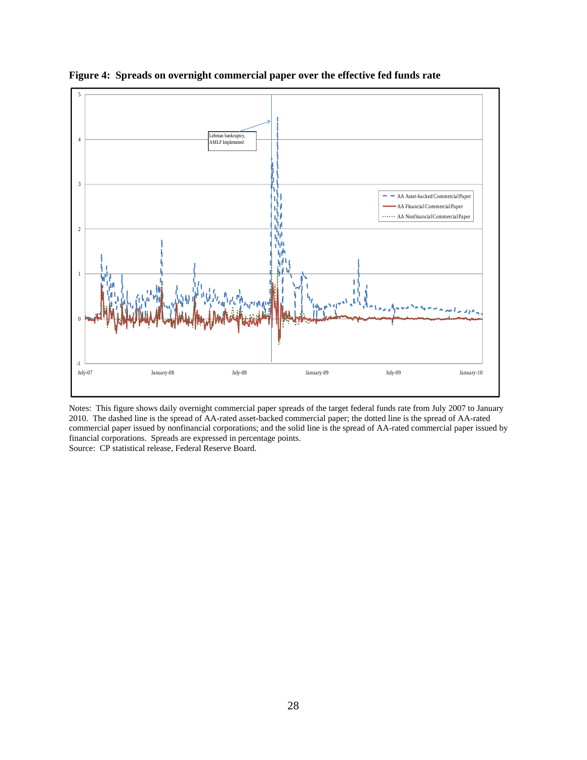![](_page_28_Figure_0.jpeg)

**Figure 4: Spreads on overnight commercial paper over the effective fed funds rate** 

Notes: This figure shows daily overnight commercial paper spreads of the target federal funds rate from July 2007 to January 2010. The dashed line is the spread of AA-rated asset-backed commercial paper; the dotted line is the spread of AA-rated commercial paper issued by nonfinancial corporations; and the solid line is the spread of AA-rated commercial paper issued by financial corporations. Spreads are expressed in percentage points. Source: CP statistical release, Federal Reserve Board.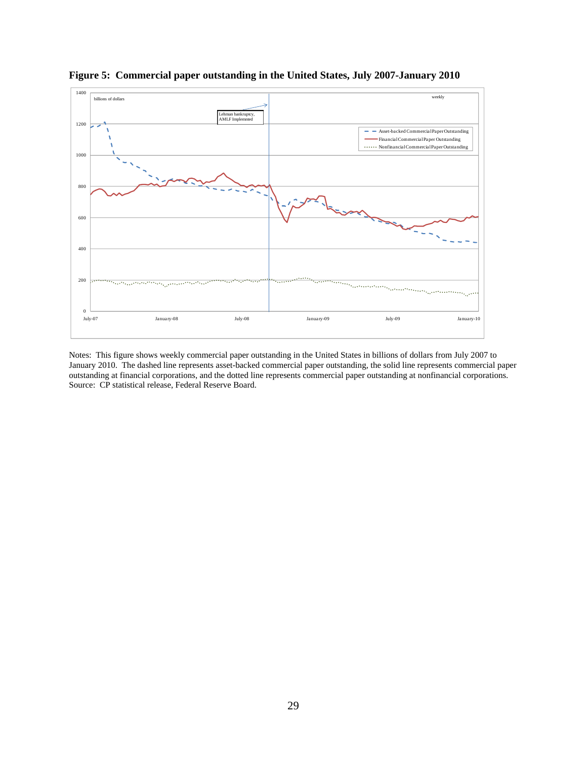![](_page_29_Figure_0.jpeg)

**Figure 5: Commercial paper outstanding in the United States, July 2007-January 2010** 

Notes: This figure shows weekly commercial paper outstanding in the United States in billions of dollars from July 2007 to January 2010. The dashed line represents asset-backed commercial paper outstanding, the solid line represents commercial paper outstanding at financial corporations, and the dotted line represents commercial paper outstanding at nonfinancial corporations. Source: CP statistical release, Federal Reserve Board.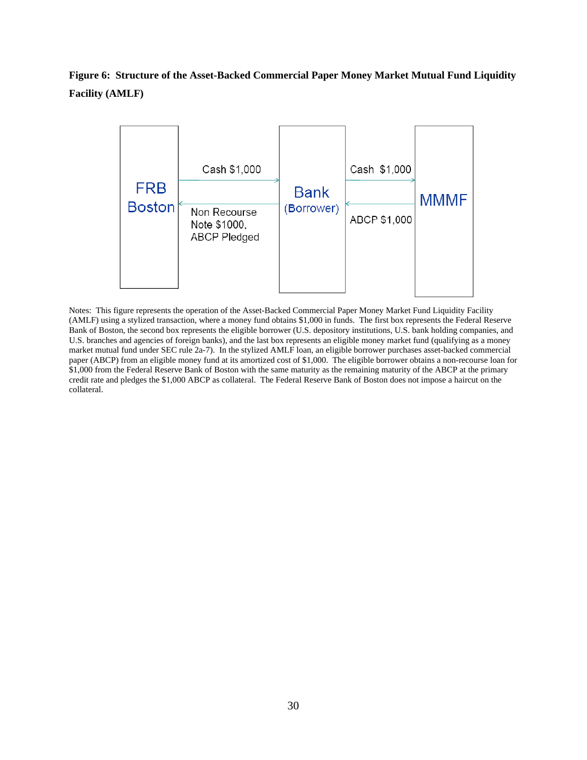## **Figure 6: Structure of the Asset-Backed Commercial Paper Money Market Mutual Fund Liquidity Facility (AMLF)**

![](_page_30_Figure_1.jpeg)

Notes: This figure represents the operation of the Asset-Backed Commercial Paper Money Market Fund Liquidity Facility (AMLF) using a stylized transaction, where a money fund obtains \$1,000 in funds. The first box represents the Federal Reserve Bank of Boston, the second box represents the eligible borrower (U.S. depository institutions, U.S. bank holding companies, and U.S. branches and agencies of foreign banks), and the last box represents an eligible money market fund (qualifying as a money market mutual fund under SEC rule 2a-7). In the stylized AMLF loan, an eligible borrower purchases asset-backed commercial paper (ABCP) from an eligible money fund at its amortized cost of \$1,000. The eligible borrower obtains a non-recourse loan for \$1,000 from the Federal Reserve Bank of Boston with the same maturity as the remaining maturity of the ABCP at the primary credit rate and pledges the \$1,000 ABCP as collateral. The Federal Reserve Bank of Boston does not impose a haircut on the collateral.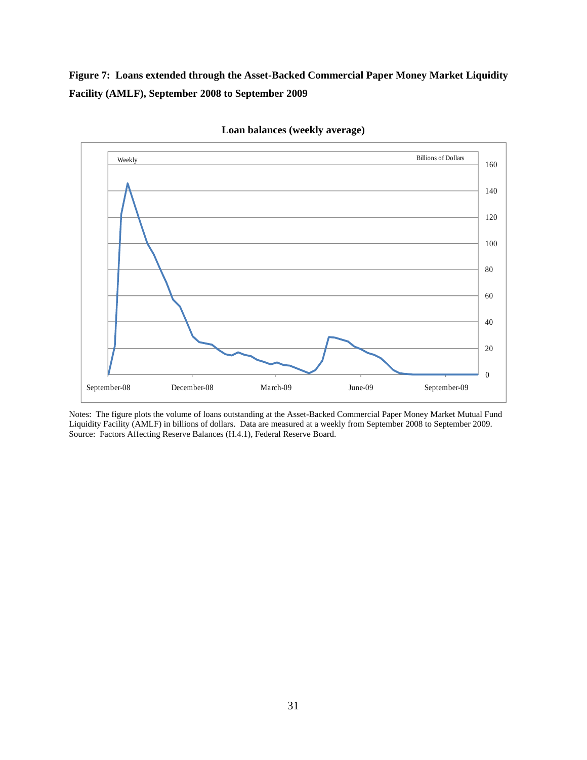**Figure 7: Loans extended through the Asset-Backed Commercial Paper Money Market Liquidity Facility (AMLF), September 2008 to September 2009** 

![](_page_31_Figure_1.jpeg)

**Loan balances (weekly average)** 

Notes: The figure plots the volume of loans outstanding at the Asset-Backed Commercial Paper Money Market Mutual Fund Liquidity Facility (AMLF) in billions of dollars. Data are measured at a weekly from September 2008 to September 2009. Source: Factors Affecting Reserve Balances (H.4.1), Federal Reserve Board.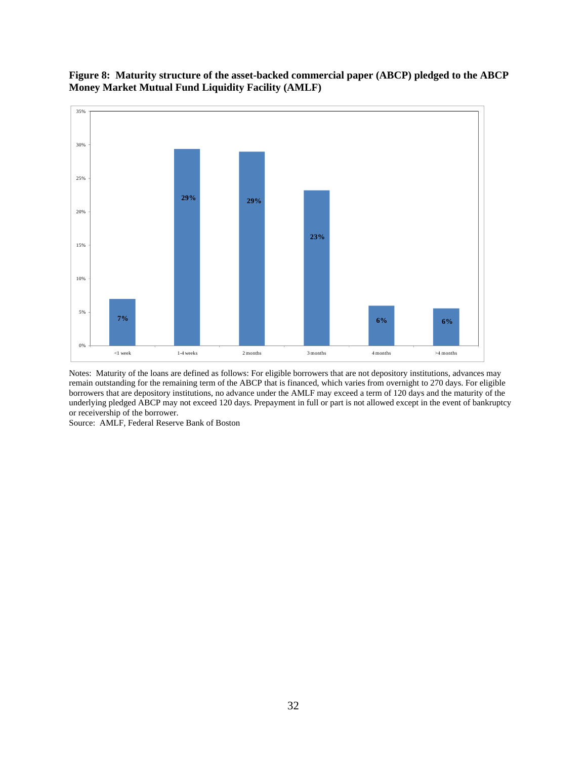![](_page_32_Figure_0.jpeg)

![](_page_32_Figure_1.jpeg)

Notes: Maturity of the loans are defined as follows: For eligible borrowers that are not depository institutions, advances may remain outstanding for the remaining term of the ABCP that is financed, which varies from overnight to 270 days. For eligible borrowers that are depository institutions, no advance under the AMLF may exceed a term of 120 days and the maturity of the underlying pledged ABCP may not exceed 120 days. Prepayment in full or part is not allowed except in the event of bankruptcy or receivership of the borrower.

Source: AMLF, Federal Reserve Bank of Boston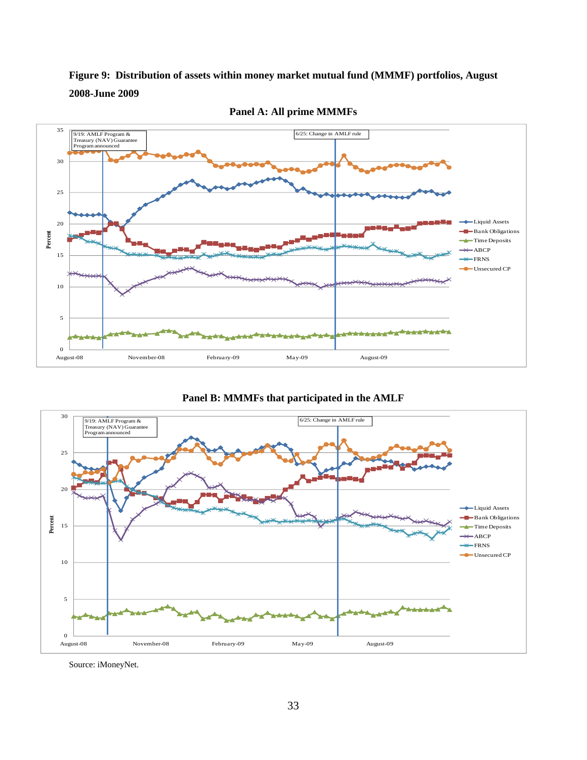![](_page_33_Figure_0.jpeg)

![](_page_33_Figure_1.jpeg)

**Panel A: All prime MMMFs** 

![](_page_33_Figure_3.jpeg)

![](_page_33_Figure_4.jpeg)

Source: iMoneyNet.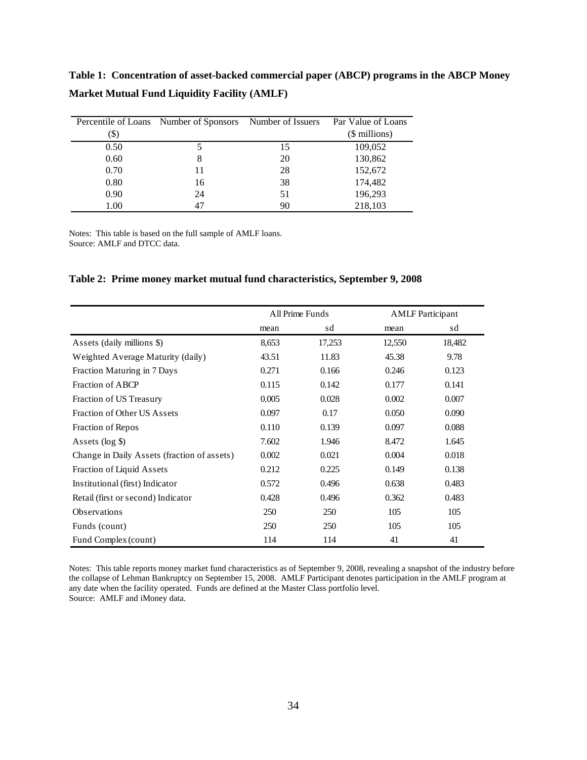**Market Mutual Fund Liquidity Facility (AMLF)** 

**Table 1: Concentration of asset-backed commercial paper (ABCP) programs in the ABCP Money** 

|      | Percentile of Loans Number of Sponsors Number of Issuers |    | Par Value of Loans |
|------|----------------------------------------------------------|----|--------------------|
| (\$  |                                                          |    | (\$ millions)      |
| 0.50 |                                                          | 15 | 109,052            |
| 0.60 | 8                                                        | 20 | 130,862            |
| 0.70 | 11                                                       | 28 | 152,672            |
| 0.80 | 16                                                       | 38 | 174,482            |
| 0.90 | 24                                                       | 51 | 196,293            |
| 1.00 | 47                                                       | 90 | 218,103            |

Notes: This table is based on the full sample of AMLF loans. Source: AMLF and DTCC data.

#### **Table 2: Prime money market mutual fund characteristics, September 9, 2008**

|                                             |       | All Prime Funds | <b>AMLF</b> Participant |        |
|---------------------------------------------|-------|-----------------|-------------------------|--------|
|                                             | mean  | sd              | mean                    | sd     |
| Assets (daily millions \$)                  | 8,653 | 17,253          | 12,550                  | 18,482 |
| Weighted Average Maturity (daily)           | 43.51 | 11.83           | 45.38                   | 9.78   |
| Fraction Maturing in 7 Days                 | 0.271 | 0.166           | 0.246                   | 0.123  |
| Fraction of ABCP                            | 0.115 | 0.142           | 0.177                   | 0.141  |
| Fraction of US Treasury                     | 0.005 | 0.028           | 0.002                   | 0.007  |
| Fraction of Other US Assets                 | 0.097 | 0.17            | 0.050                   | 0.090  |
| Fraction of Repos                           | 0.110 | 0.139           | 0.097                   | 0.088  |
| Assets $(\log \frac{6}{3})$                 | 7.602 | 1.946           | 8.472                   | 1.645  |
| Change in Daily Assets (fraction of assets) | 0.002 | 0.021           | 0.004                   | 0.018  |
| Fraction of Liquid Assets                   | 0.212 | 0.225           | 0.149                   | 0.138  |
| Institutional (first) Indicator             | 0.572 | 0.496           | 0.638                   | 0.483  |
| Retail (first or second) Indicator          | 0.428 | 0.496           | 0.362                   | 0.483  |
| <b>Observations</b>                         | 250   | 250             | 105                     | 105    |
| Funds (count)                               | 250   | 250             | 105                     | 105    |
| Fund Complex (count)                        | 114   | 114             | 41                      | 41     |

Notes: This table reports money market fund characteristics as of September 9, 2008, revealing a snapshot of the industry before the collapse of Lehman Bankruptcy on September 15, 2008. AMLF Participant denotes participation in the AMLF program at any date when the facility operated. Funds are defined at the Master Class portfolio level. Source: AMLF and iMoney data.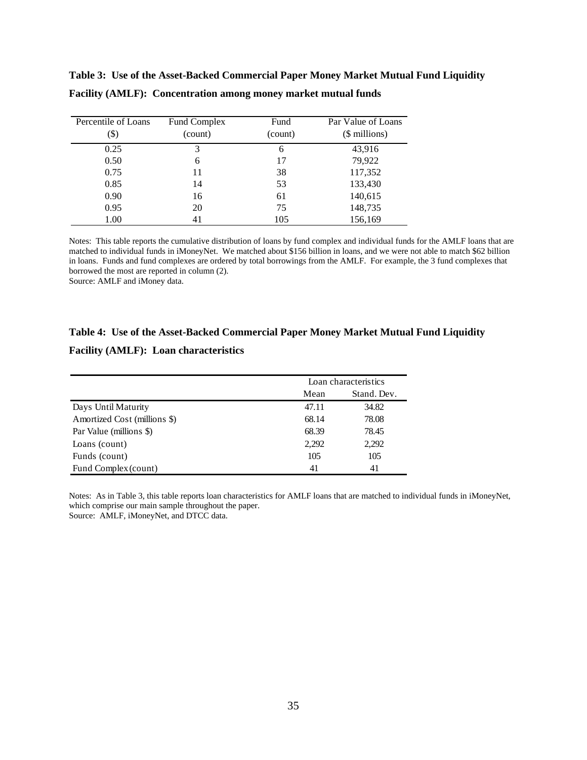| Percentile of Loans<br>(\$) | Fund Complex<br>(count) | Fund<br>(count) | Par Value of Loans<br>(\$ millions) |
|-----------------------------|-------------------------|-----------------|-------------------------------------|
| 0.25                        | 3                       | 6               | 43,916                              |
| 0.50                        | 6                       | 17              | 79,922                              |
| 0.75                        | 11                      | 38              | 117,352                             |
| 0.85                        | 14                      | 53              | 133,430                             |
| 0.90                        | 16                      | 61              | 140,615                             |
| 0.95                        | 20                      | 75              | 148,735                             |
| 1.00                        | 41                      | 105             | 156,169                             |

**Table 3: Use of the Asset-Backed Commercial Paper Money Market Mutual Fund Liquidity Facility (AMLF): Concentration among money market mutual funds** 

Notes: This table reports the cumulative distribution of loans by fund complex and individual funds for the AMLF loans that are matched to individual funds in iMoneyNet. We matched about \$156 billion in loans, and we were not able to match \$62 billion in loans. Funds and fund complexes are ordered by total borrowings from the AMLF. For example, the 3 fund complexes that borrowed the most are reported in column (2).

Source: AMLF and iMoney data.

#### **Table 4: Use of the Asset-Backed Commercial Paper Money Market Mutual Fund Liquidity**

**Facility (AMLF): Loan characteristics**

|                              | Loan characteristics |             |  |  |
|------------------------------|----------------------|-------------|--|--|
|                              | Mean                 | Stand. Dev. |  |  |
| Days Until Maturity          | 47.11                | 34.82       |  |  |
| Amortized Cost (millions \$) | 68.14                | 78.08       |  |  |
| Par Value (millions \$)      | 68.39                | 78.45       |  |  |
| Loans (count)                | 2,292                | 2,292       |  |  |
| Funds (count)                | 105                  | 105         |  |  |
| Fund Complex (count)         | 41                   | 41          |  |  |

Notes: As in Table 3, this table reports loan characteristics for AMLF loans that are matched to individual funds in iMoneyNet, which comprise our main sample throughout the paper. Source: AMLF, iMoneyNet, and DTCC data.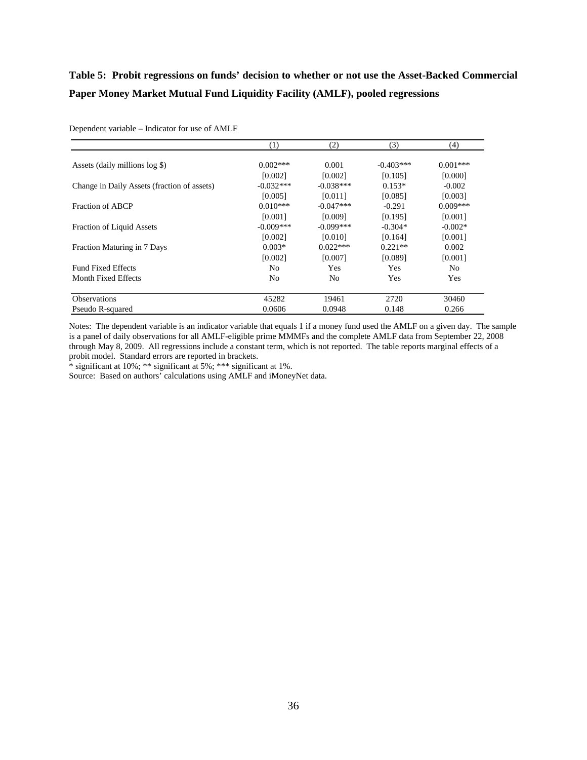## **Table 5: Probit regressions on funds' decision to whether or not use the Asset-Backed Commercial Paper Money Market Mutual Fund Liquidity Facility (AMLF), pooled regressions**

|                                             | (1)            | (2)            | (3)         | (4)        |
|---------------------------------------------|----------------|----------------|-------------|------------|
| Assets (daily millions log \$)              | $0.002***$     | 0.001          | $-0.403***$ | $0.001***$ |
|                                             | [0.002]        | [0.002]        | [0.105]     | [0.000]    |
| Change in Daily Assets (fraction of assets) | $-0.032***$    | $-0.038***$    | $0.153*$    | $-0.002$   |
|                                             | [0.005]        | [0.011]        | [0.085]     | [0.003]    |
| Fraction of ABCP                            | $0.010***$     | $-0.047***$    | $-0.291$    | $0.009***$ |
|                                             | [0.001]        | [0.009]        | [0.195]     | [0.001]    |
| <b>Fraction of Liquid Assets</b>            | $-0.009***$    | $-0.099***$    | $-0.304*$   | $-0.002*$  |
|                                             | [0.002]        | [0.010]        | [0.164]     | [0.001]    |
| Fraction Maturing in 7 Days                 | $0.003*$       | $0.022***$     | $0.221**$   | 0.002      |
|                                             | [0.002]        | [0.007]        | [0.089]     | [0.001]    |
| <b>Fund Fixed Effects</b>                   | N <sub>0</sub> | Yes            | Yes         | No.        |
| Month Fixed Effects                         | N <sub>0</sub> | N <sub>0</sub> | <b>Yes</b>  | Yes        |
| <b>Observations</b>                         | 45282          | 19461          | 2720        | 30460      |
| Pseudo R-squared                            | 0.0606         | 0.0948         | 0.148       | 0.266      |

Dependent variable – Indicator for use of AMLF

Notes: The dependent variable is an indicator variable that equals 1 if a money fund used the AMLF on a given day. The sample is a panel of daily observations for all AMLF-eligible prime MMMFs and the complete AMLF data from September 22, 2008 through May 8, 2009. All regressions include a constant term, which is not reported. The table reports marginal effects of a probit model. Standard errors are reported in brackets.

\* significant at 10%; \*\* significant at 5%; \*\*\* significant at 1%.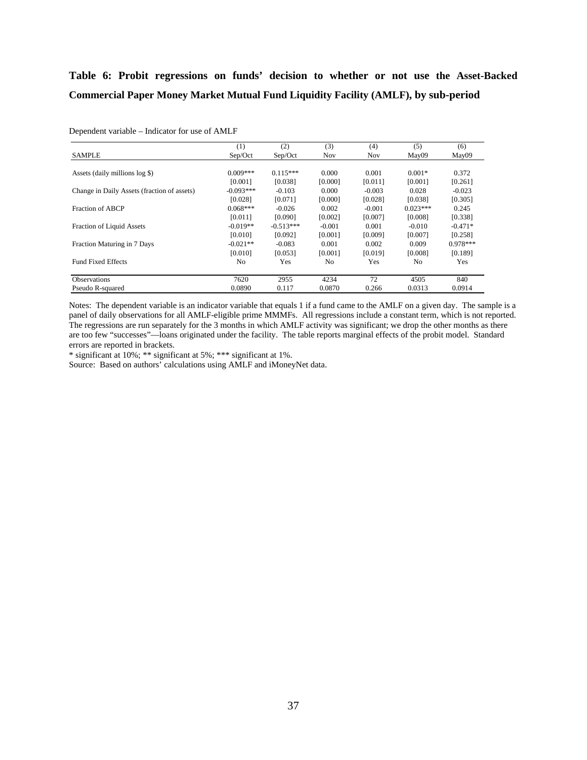## **Table 6: Probit regressions on funds' decision to whether or not use the Asset-Backed Commercial Paper Money Market Mutual Fund Liquidity Facility (AMLF), by sub-period**

|                                             | (1)            | (2)         | (3)            | (4)        | (5)            | (6)        |
|---------------------------------------------|----------------|-------------|----------------|------------|----------------|------------|
| <b>SAMPLE</b>                               | Sep/Oct        | Sep/Oct     | Nov            | <b>Nov</b> | May09          | May09      |
| Assets (daily millions log \$)              | $0.009***$     | $0.115***$  | 0.000          | 0.001      | $0.001*$       | 0.372      |
|                                             | [0.001]        | [0.038]     | [0.000]        | [0.011]    | [0.001]        | [0.261]    |
| Change in Daily Assets (fraction of assets) | $-0.093***$    | $-0.103$    | 0.000          | $-0.003$   | 0.028          | $-0.023$   |
|                                             | [0.028]        | [0.071]     | [0.000]        | [0.028]    | [0.038]        | [0.305]    |
| Fraction of ABCP                            | $0.068***$     | $-0.026$    | 0.002          | $-0.001$   | $0.023***$     | 0.245      |
|                                             | [0.011]        | [0.090]     | [0.002]        | [0.007]    | [0.008]        | [0.338]    |
| <b>Fraction of Liquid Assets</b>            | $-0.019**$     | $-0.513***$ | $-0.001$       | 0.001      | $-0.010$       | $-0.471*$  |
|                                             | [0.010]        | [0.092]     | [0.001]        | [0.009]    | [0.007]        | [0.258]    |
| Fraction Maturing in 7 Days                 | $-0.021**$     | $-0.083$    | 0.001          | 0.002      | 0.009          | $0.978***$ |
|                                             | [0.010]        | [0.053]     | [0.001]        | [0.019]    | [0.008]        | [0.189]    |
| <b>Fund Fixed Effects</b>                   | N <sub>0</sub> | Yes         | N <sub>0</sub> | Yes        | N <sub>0</sub> | Yes        |
| <b>Observations</b>                         | 7620           | 2955        | 4234           | 72         | 4505           | 840        |
| Pseudo R-squared                            | 0.0890         | 0.117       | 0.0870         | 0.266      | 0.0313         | 0.0914     |

Dependent variable – Indicator for use of AMLF

Notes: The dependent variable is an indicator variable that equals 1 if a fund came to the AMLF on a given day. The sample is a panel of daily observations for all AMLF-eligible prime MMMFs. All regressions include a constant term, which is not reported. The regressions are run separately for the 3 months in which AMLF activity was significant; we drop the other months as there are too few "successes"—loans originated under the facility. The table reports marginal effects of the probit model. Standard errors are reported in brackets.

\* significant at 10%; \*\* significant at 5%; \*\*\* significant at 1%.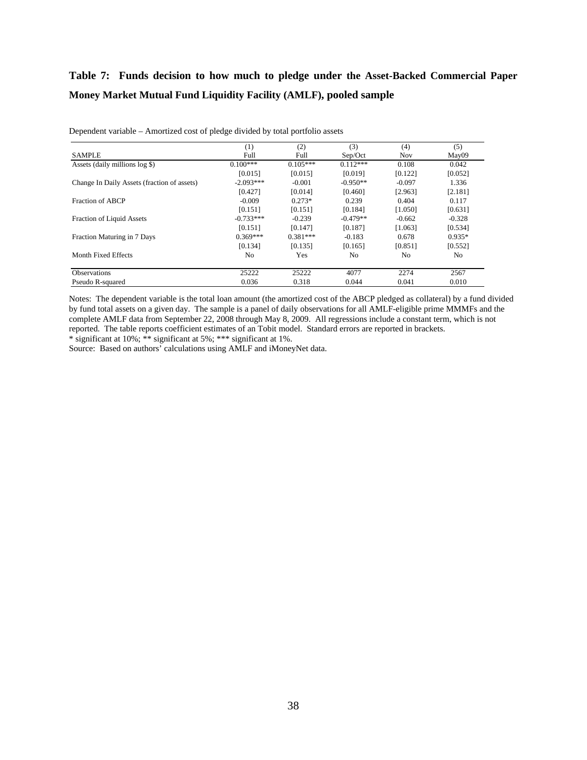## **Table 7: Funds decision to how much to pledge under the Asset-Backed Commercial Paper Money Market Mutual Fund Liquidity Facility (AMLF), pooled sample**

|                                             | (1)            | (2)        | (3)        | (4)      | (5)            |
|---------------------------------------------|----------------|------------|------------|----------|----------------|
| <b>SAMPLE</b>                               | Full           | Full       | Sep/Oct    | Nov      | May09          |
| Assets (daily millions log \$)              | $0.100***$     | $0.105***$ | $0.112***$ | 0.108    | 0.042          |
|                                             | [0.015]        | [0.015]    | [0.019]    | [0.122]  | [0.052]        |
| Change In Daily Assets (fraction of assets) | $-2.093***$    | $-0.001$   | $-0.950**$ | $-0.097$ | 1.336          |
|                                             | [0.427]        | [0.014]    | [0.460]    | [2.963]  | [2.181]        |
| Fraction of ABCP                            | $-0.009$       | $0.273*$   | 0.239      | 0.404    | 0.117          |
|                                             | [0.151]        | [0.151]    | [0.184]    | [1.050]  | [0.631]        |
| <b>Fraction of Liquid Assets</b>            | $-0.733***$    | $-0.239$   | $-0.479**$ | $-0.662$ | $-0.328$       |
|                                             | [0.151]        | [0.147]    | [0.187]    | [1.063]  | [0.534]        |
| Fraction Maturing in 7 Days                 | $0.369***$     | $0.381***$ | $-0.183$   | 0.678    | $0.935*$       |
|                                             | [0.134]        | [0.135]    | [0.165]    | [0.851]  | [0.552]        |
| Month Fixed Effects                         | N <sub>0</sub> | Yes        | No         | No       | N <sub>0</sub> |
| <b>Observations</b>                         | 25222          | 25222      | 4077       | 2274     | 2567           |
| Pseudo R-squared                            | 0.036          | 0.318      | 0.044      | 0.041    | 0.010          |

Dependent variable – Amortized cost of pledge divided by total portfolio assets

Notes: The dependent variable is the total loan amount (the amortized cost of the ABCP pledged as collateral) by a fund divided by fund total assets on a given day. The sample is a panel of daily observations for all AMLF-eligible prime MMMFs and the complete AMLF data from September 22, 2008 through May 8, 2009. All regressions include a constant term, which is not reported. The table reports coefficient estimates of an Tobit model. Standard errors are reported in brackets. \* significant at 10%; \*\* significant at 5%; \*\*\* significant at 1%.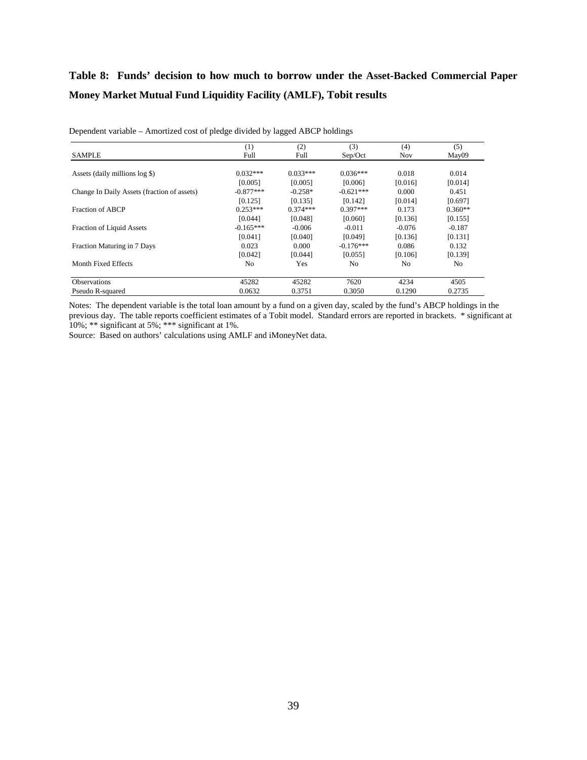## **Table 8: Funds' decision to how much to borrow under the Asset-Backed Commercial Paper Money Market Mutual Fund Liquidity Facility (AMLF), Tobit results**

|                                             | (1)            | (2)        | (3)         | (4)            | (5)       |
|---------------------------------------------|----------------|------------|-------------|----------------|-----------|
| <b>SAMPLE</b>                               | Full           | Full       | Sep/Oct     | <b>Nov</b>     | May09     |
| Assets (daily millions log \$)              | $0.032***$     | $0.033***$ | $0.036***$  | 0.018          | 0.014     |
|                                             | [0.005]        | [0.005]    | [0.006]     | [0.016]        | [0.014]   |
| Change In Daily Assets (fraction of assets) | $-0.877***$    | $-0.258*$  | $-0.621***$ | 0.000          | 0.451     |
|                                             | [0.125]        | [0.135]    | [0.142]     | [0.014]        | [0.697]   |
| Fraction of ABCP                            | $0.253***$     | $0.374***$ | $0.397***$  | 0.173          | $0.360**$ |
|                                             | [0.044]        | [0.048]    | [0.060]     | [0.136]        | [0.155]   |
| <b>Fraction of Liquid Assets</b>            | $-0.165***$    | $-0.006$   | $-0.011$    | $-0.076$       | $-0.187$  |
|                                             | [0.041]        | [0.040]    | [0.049]     | [0.136]        | [0.131]   |
| Fraction Maturing in 7 Days                 | 0.023          | 0.000      | $-0.176***$ | 0.086          | 0.132     |
|                                             | [0.042]        | [0.044]    | [0.055]     | [0.106]        | [0.139]   |
| Month Fixed Effects                         | N <sub>0</sub> | Yes        | No          | N <sub>0</sub> | No.       |
| <b>Observations</b>                         | 45282          | 45282      | 7620        | 4234           | 4505      |
| Pseudo R-squared                            | 0.0632         | 0.3751     | 0.3050      | 0.1290         | 0.2735    |

Dependent variable – Amortized cost of pledge divided by lagged ABCP holdings

Notes: The dependent variable is the total loan amount by a fund on a given day, scaled by the fund's ABCP holdings in the previous day. The table reports coefficient estimates of a Tobit model. Standard errors are reported in brackets. \* significant at 10%; \*\* significant at 5%; \*\*\* significant at 1%.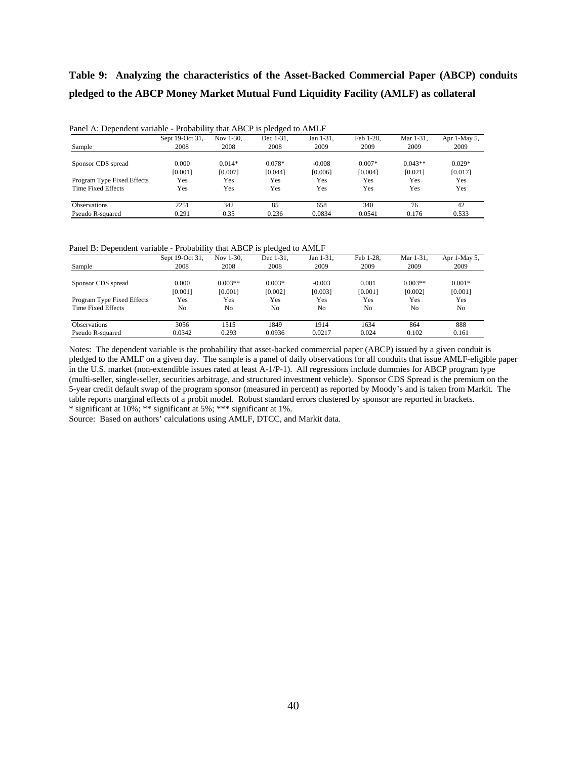## **Table 9: Analyzing the characteristics of the Asset-Backed Commercial Paper (ABCP) conduits pledged to the ABCP Money Market Mutual Fund Liquidity Facility (AMLF) as collateral**

|                            | Sept 19-Oct 31. | Nov 1-30. | Dec 1-31. | Jan 1-31. | Feb 1-28. | Mar 1-31. | Apr 1-May 5, |
|----------------------------|-----------------|-----------|-----------|-----------|-----------|-----------|--------------|
| Sample                     | 2008            | 2008      | 2008      | 2009      | 2009      | 2009      | 2009         |
| Sponsor CDS spread         | 0.000           | $0.014*$  | $0.078*$  | $-0.008$  | $0.007*$  | $0.043**$ | $0.029*$     |
|                            | [0.001]         | [0.007]   | [0.044]   | [0.006]   | [0.004]   | [0.021]   | [0.017]      |
| Program Type Fixed Effects | Yes             | Yes       | Yes       | Yes       | Yes       | Yes       | Yes          |
| Time Fixed Effects         | Yes             | Yes       | Yes       | Yes       | Yes       | Yes       | Yes          |
| <b>Observations</b>        | 2251            | 342       | 85        | 658       | 340       | 76        | 42           |
| Pseudo R-squared           | 0.291           | 0.35      | 0.236     | 0.0834    | 0.0541    | 0.176     | 0.533        |

Panel A: Dependent variable - Probability that ABCP is pledged to AMLF

Panel B: Dependent variable - Probability that ABCP is pledged to AMLF

| $\mathbf{r}$               |                 | -         | $\tilde{\phantom{a}}$ |           |           |           |              |
|----------------------------|-----------------|-----------|-----------------------|-----------|-----------|-----------|--------------|
|                            | Sept 19-Oct 31, | Nov 1-30. | Dec 1-31.             | Jan 1-31, | Feb 1-28. | Mar 1-31. | Apr 1-May 5, |
| Sample                     | 2008            | 2008      | 2008                  | 2009      | 2009      | 2009      | 2009         |
| Sponsor CDS spread         | 0.000           | $0.003**$ | $0.003*$              | $-0.003$  | 0.001     | $0.003**$ | $0.001*$     |
|                            | [0.001]         | [0.001]   | [0.002]               | [0.003]   | [0.001]   | [0.002]   | [0.001]      |
| Program Type Fixed Effects | Yes             | Yes       | Yes                   | Yes       | Yes       | Yes       | Yes          |
| Time Fixed Effects         | No              | No        | No                    | No        | No        | No        | No           |
| <b>Observations</b>        | 3056            | 1515      | 1849                  | 1914      | 1634      | 864       | 888          |
| Pseudo R-squared           | 0.0342          | 0.293     | 0.0936                | 0.0217    | 0.024     | 0.102     | 0.161        |

Notes: The dependent variable is the probability that asset-backed commercial paper (ABCP) issued by a given conduit is pledged to the AMLF on a given day. The sample is a panel of daily observations for all conduits that issue AMLF-eligible paper in the U.S. market (non-extendible issues rated at least A-1/P-1). All regressions include dummies for ABCP program type (multi-seller, single-seller, securities arbitrage, and structured investment vehicle). Sponsor CDS Spread is the premium on the 5-year credit default swap of the program sponsor (measured in percent) as reported by Moody's and is taken from Markit. The table reports marginal effects of a probit model. Robust standard errors clustered by sponsor are reported in brackets. \* significant at 10%; \*\* significant at 5%; \*\*\* significant at 1%.

Source: Based on authors' calculations using AMLF, DTCC, and Markit data.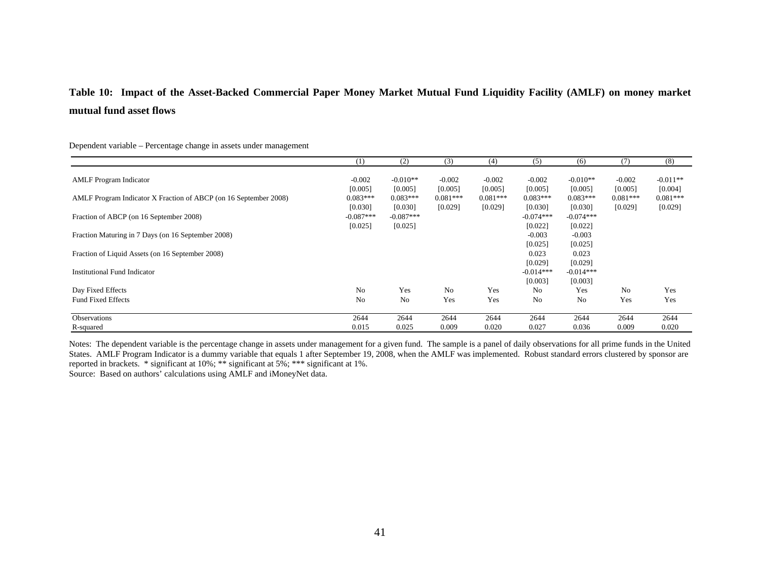## **Table 10: Impact of the Asset-Backed Commercial Paper Money Market Mutual Fund Liquidity Facility (AMLF) on money market mutual fund asset flows**

Dependent variable – Percentage change in assets under management

|                                                                  | (1)                    | (2)                    | (3)                   | (4)                   | (5)                    | (6)                    | (7)                   | (8)                   |
|------------------------------------------------------------------|------------------------|------------------------|-----------------------|-----------------------|------------------------|------------------------|-----------------------|-----------------------|
| <b>AMLF</b> Program Indicator                                    | $-0.002$<br>[0.005]    | $-0.010**$<br>[0.005]  | $-0.002$<br>[0.005]   | $-0.002$<br>[0.005]   | $-0.002$<br>[0.005]    | $-0.010**$<br>[0.005]  | $-0.002$<br>[0.005]   | $-0.011**$<br>[0.004] |
| AMLF Program Indicator X Fraction of ABCP (on 16 September 2008) | $0.083***$<br>[0.030]  | $0.083***$<br>[0.030]  | $0.081***$<br>[0.029] | $0.081***$<br>[0.029] | $0.083***$<br>[0.030]  | $0.083***$<br>[0.030]  | $0.081***$<br>[0.029] | $0.081***$<br>[0.029] |
| Fraction of ABCP (on 16 September 2008)                          | $-0.087***$<br>[0.025] | $-0.087***$<br>[0.025] |                       |                       | $-0.074***$<br>[0.022] | $-0.074***$<br>[0.022] |                       |                       |
| Fraction Maturing in 7 Days (on 16 September 2008)               |                        |                        |                       |                       | $-0.003$<br>[0.025]    | $-0.003$<br>[0.025]    |                       |                       |
| Fraction of Liquid Assets (on 16 September 2008)                 |                        |                        |                       |                       | 0.023<br>[0.029]       | 0.023<br>[0.029]       |                       |                       |
| <b>Institutional Fund Indicator</b>                              |                        |                        |                       |                       | $-0.014***$<br>[0.003] | $-0.014***$<br>[0.003] |                       |                       |
| Day Fixed Effects                                                | N <sub>0</sub>         | Yes                    | N <sub>o</sub>        | Yes                   | No                     | Yes                    | N <sub>0</sub>        | Yes                   |
| <b>Fund Fixed Effects</b>                                        | No                     | No                     | Yes                   | Yes                   | No                     | No                     | Yes                   | Yes                   |
| Observations                                                     | 2644                   | 2644                   | 2644                  | 2644                  | 2644                   | 2644                   | 2644                  | 2644                  |
| R-squared                                                        | 0.015                  | 0.025                  | 0.009                 | 0.020                 | 0.027                  | 0.036                  | 0.009                 | 0.020                 |

Notes: The dependent variable is the percentage change in assets under management for a given fund. The sample is a panel of daily observations for all prime funds in the United States. AMLF Program Indicator is a dummy variable that equals 1 after September 19, 2008, when the AMLF was implemented. Robust standard errors clustered by sponsor are reported in brackets. \* significant at 10%; \*\* significant at 5%; \*\*\* significant at 1%. Source: Based on authors' calculations using AMLF and iMoneyNet data.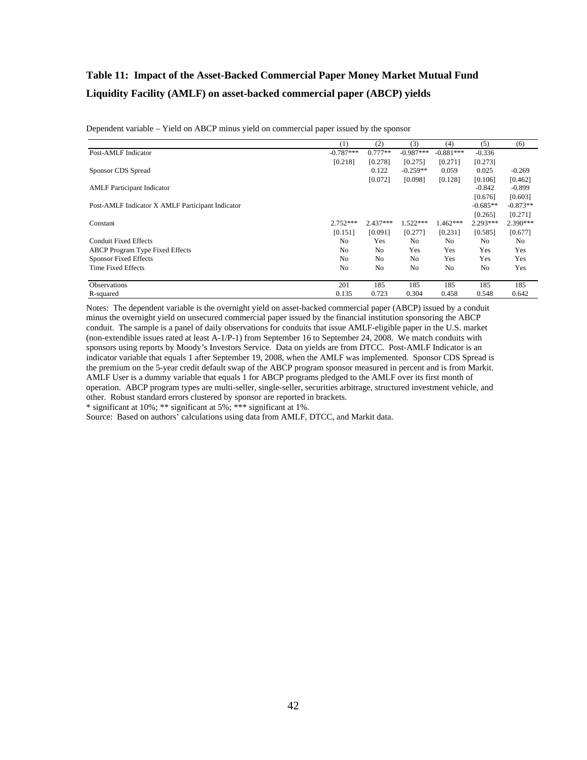## **Table 11: Impact of the Asset-Backed Commercial Paper Money Market Mutual Fund Liquidity Facility (AMLF) on asset-backed commercial paper (ABCP) yields**

Dependent variable – Yield on ABCP minus yield on commercial paper issued by the sponsor

|                                                  | (1)         | (2)            | (3)         | (4)         | (5)            | (6)        |
|--------------------------------------------------|-------------|----------------|-------------|-------------|----------------|------------|
| Post-AMLF Indicator                              | $-0.787***$ | $0.777**$      | $-0.987***$ | $-0.881***$ | $-0.336$       |            |
|                                                  | [0.218]     | [0.278]        | [0.275]     | [0.271]     | [0.273]        |            |
| Sponsor CDS Spread                               |             | 0.122          | $-0.259**$  | 0.059       | 0.025          | $-0.269$   |
|                                                  |             | [0.072]        | [0.098]     | [0.128]     | [0.106]        | [0.462]    |
| <b>AMLF</b> Participant Indicator                |             |                |             |             | $-0.842$       | $-0.899$   |
|                                                  |             |                |             |             | [0.676]        | [0.603]    |
| Post-AMLF Indicator X AMLF Participant Indicator |             |                |             |             | $-0.685**$     | $-0.873**$ |
|                                                  |             |                |             |             | [0.265]        | [0.271]    |
| Constant                                         | $2.752***$  | $2.437***$     | $1.522***$  | $1.462***$  | 2.293***       | 2.390***   |
|                                                  | [0.151]     | [0.091]        | [0.277]     | [0.231]     | [0.585]        | [0.677]    |
| <b>Conduit Fixed Effects</b>                     | No          | <b>Yes</b>     | No.         | No          | N <sub>0</sub> | No         |
| <b>ABCP</b> Program Type Fixed Effects           | No          | N <sub>o</sub> | Yes         | Yes         | Yes            | Yes        |
| <b>Sponsor Fixed Effects</b>                     | No          | No.            | No.         | Yes         | Yes            | Yes        |
| Time Fixed Effects                               | No          | N <sub>0</sub> | No          | No          | No             | Yes        |
|                                                  |             |                |             |             |                |            |
| <b>Observations</b>                              | 201         | 185            | 185         | 185         | 185            | 185        |
| R-squared                                        | 0.135       | 0.723          | 0.304       | 0.458       | 0.548          | 0.642      |

Notes: The dependent variable is the overnight yield on asset-backed commercial paper (ABCP) issued by a conduit minus the overnight yield on unsecured commercial paper issued by the financial institution sponsoring the ABCP conduit. The sample is a panel of daily observations for conduits that issue AMLF-eligible paper in the U.S. market (non-extendible issues rated at least A-1/P-1) from September 16 to September 24, 2008. We match conduits with sponsors using reports by Moody's Investors Service. Data on yields are from DTCC. Post-AMLF Indicator is an indicator variable that equals 1 after September 19, 2008, when the AMLF was implemented. Sponsor CDS Spread is the premium on the 5-year credit default swap of the ABCP program sponsor measured in percent and is from Markit. AMLF User is a dummy variable that equals 1 for ABCP programs pledged to the AMLF over its first month of operation. ABCP program types are multi-seller, single-seller, securities arbitrage, structured investment vehicle, and other. Robust standard errors clustered by sponsor are reported in brackets.

\* significant at 10%; \*\* significant at 5%; \*\*\* significant at 1%.

Source: Based on authors' calculations using data from AMLF, DTCC, and Markit data.